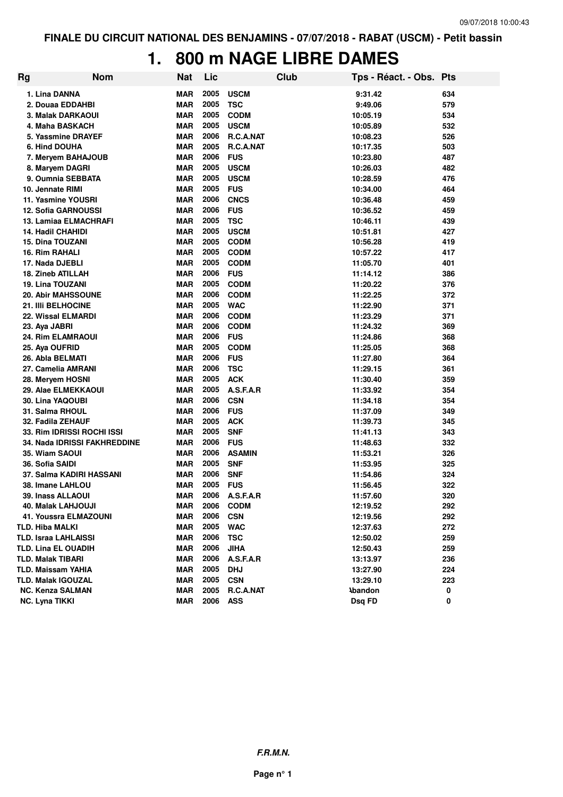### **1. 800 m NAGE LIBRE DAMES**

| <b>Rg</b> | <b>Nom</b>                          | <b>Nat</b> | Lic  |                | <b>Club</b> | Tps - Réact. - Obs. Pts |     |
|-----------|-------------------------------------|------------|------|----------------|-------------|-------------------------|-----|
|           | 1. Lina DANNA                       | <b>MAR</b> | 2005 | <b>USCM</b>    |             | 9:31.42                 | 634 |
|           | 2. Douaa EDDAHBI                    | MAR        | 2005 | <b>TSC</b>     |             | 9:49.06                 | 579 |
|           | 3. Malak DARKAOUI                   | <b>MAR</b> | 2005 | <b>CODM</b>    |             | 10:05.19                | 534 |
|           | 4. Maha BASKACH                     | MAR        | 2005 | <b>USCM</b>    |             | 10:05.89                | 532 |
|           | 5. Yassmine DRAYEF                  | <b>MAR</b> | 2006 | R.C.A.NAT      |             | 10:08.23                | 526 |
|           | 6. Hind DOUHA                       | <b>MAR</b> | 2005 | R.C.A.NAT      |             | 10:17.35                | 503 |
|           | 7. Meryem BAHAJOUB                  | <b>MAR</b> | 2006 | <b>FUS</b>     |             | 10:23.80                | 487 |
|           | 8. Maryem DAGRI                     | <b>MAR</b> | 2005 | <b>USCM</b>    |             | 10:26.03                | 482 |
|           | 9. Oumnia SEBBATA                   | <b>MAR</b> | 2005 | <b>USCM</b>    |             | 10:28.59                | 476 |
|           | 10. Jennate RIMI                    | <b>MAR</b> | 2005 | <b>FUS</b>     |             | 10:34.00                | 464 |
|           | 11. Yasmine YOUSRI                  | MAR        | 2006 | <b>CNCS</b>    |             | 10:36.48                | 459 |
|           | 12. Sofia GARNOUSSI                 | <b>MAR</b> | 2006 | <b>FUS</b>     |             | 10:36.52                | 459 |
|           | 13. Lamiaa ELMACHRAFI               | <b>MAR</b> | 2005 | <b>TSC</b>     |             | 10:46.11                | 439 |
|           | <b>14. Hadil CHAHIDI</b>            | <b>MAR</b> | 2005 | <b>USCM</b>    |             | 10:51.81                | 427 |
|           | 15. Dina TOUZANI                    | <b>MAR</b> | 2005 | <b>CODM</b>    |             | 10:56.28                | 419 |
|           | 16. Rim RAHALI                      | <b>MAR</b> | 2005 | <b>CODM</b>    |             | 10:57.22                | 417 |
|           | 17. Nada DJEBLI                     | <b>MAR</b> | 2005 | <b>CODM</b>    |             | 11:05.70                | 401 |
|           | 18. Zineb ATILLAH                   | <b>MAR</b> | 2006 | <b>FUS</b>     |             | 11:14.12                | 386 |
|           | 19. Lina TOUZANI                    | <b>MAR</b> | 2005 | <b>CODM</b>    |             | 11:20.22                | 376 |
|           | <b>20. Abir MAHSSOUNE</b>           | MAR        | 2006 | <b>CODM</b>    |             | 11:22.25                | 372 |
|           | 21. IIIi BELHOCINE                  | <b>MAR</b> | 2005 | <b>WAC</b>     |             | 11:22.90                | 371 |
|           | 22. Wissal ELMARDI                  | <b>MAR</b> | 2006 | <b>CODM</b>    |             | 11:23.29                | 371 |
|           | 23. Aya JABRI                       | <b>MAR</b> | 2006 | <b>CODM</b>    |             | 11:24.32                | 369 |
|           | 24. Rim ELAMRAOUI                   | <b>MAR</b> | 2006 | <b>FUS</b>     |             | 11:24.86                | 368 |
|           | 25. Aya OUFRID                      | <b>MAR</b> | 2005 | <b>CODM</b>    |             | 11:25.05                | 368 |
|           | 26. Abla BELMATI                    | <b>MAR</b> | 2006 | <b>FUS</b>     |             | 11:27.80                | 364 |
|           | 27. Camelia AMRANI                  | <b>MAR</b> | 2006 | <b>TSC</b>     |             | 11:29.15                | 361 |
|           | 28. Meryem HOSNI                    | <b>MAR</b> | 2005 | <b>ACK</b>     |             | 11:30.40                | 359 |
|           | 29. Alae ELMEKKAOUI                 | <b>MAR</b> | 2005 | A.S.F.A.R      |             | 11:33.92                | 354 |
|           | 30. Lina YAQOUBI                    | <b>MAR</b> | 2006 | <b>CSN</b>     |             | 11:34.18                | 354 |
|           | 31. Salma RHOUL                     | MAR        | 2006 | <b>FUS</b>     |             | 11:37.09                | 349 |
|           | 32. Fadila ZEHAUF                   | <b>MAR</b> | 2005 | <b>ACK</b>     |             | 11:39.73                | 345 |
|           | 33. Rim IDRISSI ROCHI ISSI          | <b>MAR</b> | 2005 | <b>SNF</b>     |             | 11:41.13                | 343 |
|           | <b>34. Nada IDRISSI FAKHREDDINE</b> | <b>MAR</b> | 2006 | <b>FUS</b>     |             | 11:48.63                | 332 |
|           | 35. Wiam SAOUI                      | <b>MAR</b> | 2006 | <b>ASAMIN</b>  |             | 11:53.21                | 326 |
|           | 36. Sofia SAIDI                     | MAR        | 2005 | <b>SNF</b>     |             | 11:53.95                | 325 |
|           | 37. Salma KADIRI HASSANI            | <b>MAR</b> | 2006 | <b>SNF</b>     |             | 11:54.86                | 324 |
|           | 38. Imane LAHLOU                    | MAR        | 2005 | <b>FUS</b>     |             | 11:56.45                | 322 |
|           | 39. Inass ALLAOUI                   | <b>MAR</b> |      | 2006 A.S.F.A.R |             | 11:57.60                | 320 |
|           | 40. Malak LAHJOUJI                  | MAR        | 2006 | <b>CODM</b>    |             | 12:19.52                | 292 |
|           | 41. Youssra ELMAZOUNI               | MAR        | 2006 | <b>CSN</b>     |             | 12:19.56                | 292 |
|           | <b>TLD. Hiba MALKI</b>              | MAR        | 2005 | <b>WAC</b>     |             | 12:37.63                | 272 |
|           | <b>TLD. Israa LAHLAISSI</b>         | <b>MAR</b> | 2006 | <b>TSC</b>     |             | 12:50.02                | 259 |
|           | <b>TLD. Lina EL OUADIH</b>          | <b>MAR</b> | 2006 | <b>JIHA</b>    |             | 12:50.43                | 259 |
|           | <b>TLD. Malak TIBARI</b>            | <b>MAR</b> | 2006 | A.S.F.A.R      |             | 13:13.97                | 236 |
|           | <b>TLD. Maissam YAHIA</b>           | <b>MAR</b> | 2005 | <b>DHJ</b>     |             | 13:27.90                | 224 |
|           | <b>TLD. Malak IGOUZAL</b>           | <b>MAR</b> | 2005 | <b>CSN</b>     |             | 13:29.10                | 223 |
|           | <b>NC. Kenza SALMAN</b>             | <b>MAR</b> | 2005 | R.C.A.NAT      |             | <b>Abandon</b>          | 0   |
|           | <b>NC. Lyna TIKKI</b>               | <b>MAR</b> | 2006 | <b>ASS</b>     |             | Dsq FD                  | 0   |
|           |                                     |            |      |                |             |                         |     |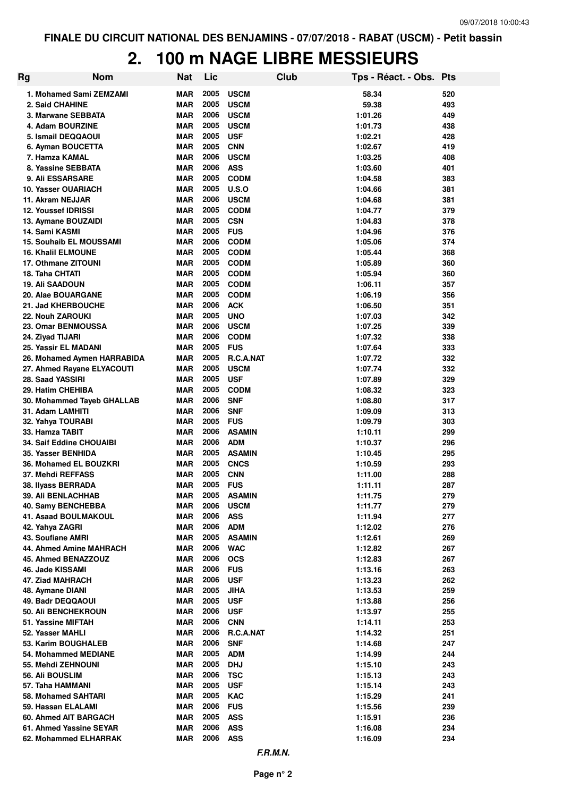# **2. 100 m NAGE LIBRE MESSIEURS**

| Rg | <b>Nom</b>                                            | Nat                      | Lic          |                             | Club | Tps - Réact. - Obs. Pts |            |
|----|-------------------------------------------------------|--------------------------|--------------|-----------------------------|------|-------------------------|------------|
|    | 1. Mohamed Sami ZEMZAMI                               | MAR                      | 2005         | <b>USCM</b>                 |      | 58.34                   | 520        |
|    | 2. Said CHAHINE                                       | MAR                      | 2005         | <b>USCM</b>                 |      | 59.38                   | 493        |
|    | 3. Marwane SEBBATA                                    | MAR                      | 2006         | <b>USCM</b>                 |      | 1:01.26                 | 449        |
|    | 4. Adam BOURZINE                                      | <b>MAR</b>               | 2005         | <b>USCM</b>                 |      | 1:01.73                 | 438        |
|    | 5. Ismail DEQQAOUI                                    | <b>MAR</b>               | 2005         | <b>USF</b>                  |      | 1:02.21                 | 428        |
|    | 6. Ayman BOUCETTA                                     | <b>MAR</b>               | 2005         | <b>CNN</b>                  |      | 1:02.67                 | 419        |
|    | 7. Hamza KAMAL                                        | <b>MAR</b>               | 2006         | <b>USCM</b>                 |      | 1:03.25                 | 408        |
|    | 8. Yassine SEBBATA                                    | MAR                      | 2006         | <b>ASS</b>                  |      | 1:03.60                 | 401        |
|    | 9. Ali ESSARSARE                                      | MAR                      | 2005         | <b>CODM</b>                 |      | 1:04.58                 | 383        |
|    | 10. Yasser OUARIACH                                   | MAR                      | 2005         | <b>U.S.O</b>                |      | 1:04.66                 | 381        |
|    | 11. Akram NEJJAR                                      | <b>MAR</b>               | 2006         | <b>USCM</b>                 |      | 1:04.68                 | 381        |
|    | <b>12. Youssef IDRISSI</b>                            | MAR                      | 2005         | <b>CODM</b>                 |      | 1:04.77                 | 379        |
|    | 13. Aymane BOUZAIDI                                   | <b>MAR</b>               | 2005         | <b>CSN</b>                  |      | 1:04.83                 | 378        |
|    | 14. Sami KASMI                                        | <b>MAR</b>               | 2005         | <b>FUS</b>                  |      | 1:04.96                 | 376        |
|    | <b>15. Souhaib EL MOUSSAMI</b>                        | MAR                      | 2006         | <b>CODM</b>                 |      | 1:05.06                 | 374        |
|    | <b>16. Khalil ELMOUNE</b>                             | MAR                      | 2005         | <b>CODM</b>                 |      | 1:05.44                 | 368        |
|    | 17. Othmane ZITOUNI                                   | MAR                      | 2005         | <b>CODM</b>                 |      | 1:05.89                 | 360        |
|    | 18. Taha CHTATI                                       | <b>MAR</b>               | 2005         | <b>CODM</b>                 |      | 1:05.94                 | 360        |
|    | <b>19. Ali SAADOUN</b>                                | MAR                      | 2005         | <b>CODM</b>                 |      | 1:06.11                 | 357        |
|    | 20. Alae BOUARGANE                                    | MAR                      | 2005         | <b>CODM</b>                 |      | 1:06.19                 | 356        |
|    | 21. Jad KHERBOUCHE                                    | MAR                      | 2006         | <b>ACK</b>                  |      | 1:06.50                 | 351        |
|    | 22. Nouh ZAROUKI                                      | MAR                      | 2005         | <b>UNO</b>                  |      | 1:07.03                 | 342        |
|    | 23. Omar BENMOUSSA                                    | MAR                      | 2006         | <b>USCM</b>                 |      | 1:07.25                 | 339        |
|    | 24. Ziyad TIJARI                                      | MAR                      | 2006         | <b>CODM</b>                 |      | 1:07.32                 | 338        |
|    | 25. Yassir EL MADANI                                  | MAR                      | 2005         | <b>FUS</b>                  |      | 1:07.64                 | 333        |
|    | 26. Mohamed Aymen HARRABIDA                           | MAR                      | 2005         | R.C.A.NAT                   |      | 1:07.72                 | 332        |
|    | 27. Ahmed Rayane ELYACOUTI                            | MAR                      | 2005         | <b>USCM</b>                 |      | 1:07.74                 | 332        |
|    | 28. Saad YASSIRI                                      | MAR                      | 2005         | <b>USF</b>                  |      | 1:07.89                 | 329        |
|    | 29. Hatim CHEHIBA                                     | <b>MAR</b>               | 2005         | <b>CODM</b>                 |      | 1:08.32                 | 323        |
|    | 30. Mohammed Tayeb GHALLAB                            | MAR                      | 2006         | <b>SNF</b>                  |      | 1:08.80                 | 317        |
|    | 31. Adam LAMHITI                                      | MAR                      | 2006         | <b>SNF</b>                  |      | 1:09.09                 | 313        |
|    | 32. Yahya TOURABI                                     | MAR                      | 2005<br>2006 | <b>FUS</b>                  |      | 1:09.79                 | 303        |
|    | 33. Hamza TABIT                                       | <b>MAR</b>               | 2006         | <b>ASAMIN</b><br><b>ADM</b> |      | 1:10.11                 | 299<br>296 |
|    | <b>34. Saif Eddine CHOUAIBI</b><br>35. Yasser BENHIDA | <b>MAR</b><br><b>MAR</b> | 2005         | <b>ASAMIN</b>               |      | 1:10.37<br>1:10.45      | 295        |
|    | 36. Mohamed EL BOUZKRI                                | <b>MAR</b>               | 2005         | <b>CNCS</b>                 |      | 1:10.59                 | 293        |
|    | 37. Mehdi REFFASS                                     | MAR                      | 2005         | <b>CNN</b>                  |      | 1:11.00                 | 288        |
|    | 38. Ilyass BERRADA                                    | <b>MAR</b>               | 2005         | <b>FUS</b>                  |      | 1:11.11                 | 287        |
|    | 39. Ali BENLACHHAB                                    | <b>MAR</b>               |              | 2005 ASAMIN                 |      | 1:11.75                 | 279        |
|    | 40. Samy BENCHEBBA                                    | MAR                      | 2006         | <b>USCM</b>                 |      | 1:11.77                 | 279        |
|    | 41. Asaad BOULMAKOUL                                  | <b>MAR</b>               | 2006         | <b>ASS</b>                  |      | 1:11.94                 | 277        |
|    | 42. Yahya ZAGRI                                       | <b>MAR</b>               | 2006         | <b>ADM</b>                  |      | 1:12.02                 | 276        |
|    | 43. Soufiane AMRI                                     | <b>MAR</b>               | 2005         | <b>ASAMIN</b>               |      | 1:12.61                 | 269        |
|    | 44. Ahmed Amine MAHRACH                               | <b>MAR</b>               | 2006         | <b>WAC</b>                  |      | 1:12.82                 | 267        |
|    | 45. Ahmed BENAZZOUZ                                   | <b>MAR</b>               | 2006         | <b>OCS</b>                  |      | 1:12.83                 | 267        |
|    | 46. Jade KISSAMI                                      | <b>MAR</b>               | 2006         | <b>FUS</b>                  |      | 1:13.16                 | 263        |
|    | 47. Ziad MAHRACH                                      | <b>MAR</b>               | 2006         | <b>USF</b>                  |      | 1:13.23                 | 262        |
|    | 48. Aymane DIANI                                      | <b>MAR</b>               | 2005         | <b>JIHA</b>                 |      | 1:13.53                 | 259        |
|    | 49. Badr DEQQAOUI                                     | <b>MAR</b>               | 2005         | <b>USF</b>                  |      | 1:13.88                 | 256        |
|    | 50. Ali BENCHEKROUN                                   | <b>MAR</b>               | 2006         | <b>USF</b>                  |      | 1:13.97                 | 255        |
|    | 51. Yassine MIFTAH                                    | <b>MAR</b>               | 2006         | <b>CNN</b>                  |      | 1:14.11                 | 253        |
|    | 52. Yasser MAHLI                                      | <b>MAR</b>               | 2006         | R.C.A.NAT                   |      | 1:14.32                 | 251        |
|    | 53. Karim BOUGHALEB                                   | <b>MAR</b>               | 2006         | <b>SNF</b>                  |      | 1:14.68                 | 247        |
|    | 54. Mohammed MEDIANE                                  | <b>MAR</b>               | 2005         | <b>ADM</b>                  |      | 1:14.99                 | 244        |
|    | 55. Mehdi ZEHNOUNI                                    | <b>MAR</b>               | 2005         | <b>DHJ</b>                  |      | 1:15.10                 | 243        |
|    | 56. Ali BOUSLIM                                       | <b>MAR</b>               | 2006         | <b>TSC</b>                  |      | 1:15.13                 | 243        |
|    | 57. Taha HAMMANI                                      | <b>MAR</b>               | 2005         | <b>USF</b>                  |      | 1:15.14                 | 243        |
|    | 58. Mohamed SAHTARI                                   | <b>MAR</b>               | 2005         | <b>KAC</b>                  |      | 1:15.29                 | 241        |
|    | 59. Hassan ELALAMI                                    | <b>MAR</b>               | 2006         | <b>FUS</b>                  |      | 1:15.56                 | 239        |
|    | 60. Ahmed AIT BARGACH                                 | <b>MAR</b>               | 2005         | <b>ASS</b>                  |      | 1:15.91                 | 236        |
|    | 61. Ahmed Yassine SEYAR                               | <b>MAR</b>               | 2006         | <b>ASS</b>                  |      | 1:16.08                 | 234        |
|    | 62. Mohammed ELHARRAK                                 | MAR                      | 2006         | <b>ASS</b>                  |      | 1:16.09                 | 234        |
|    |                                                       |                          |              |                             |      |                         |            |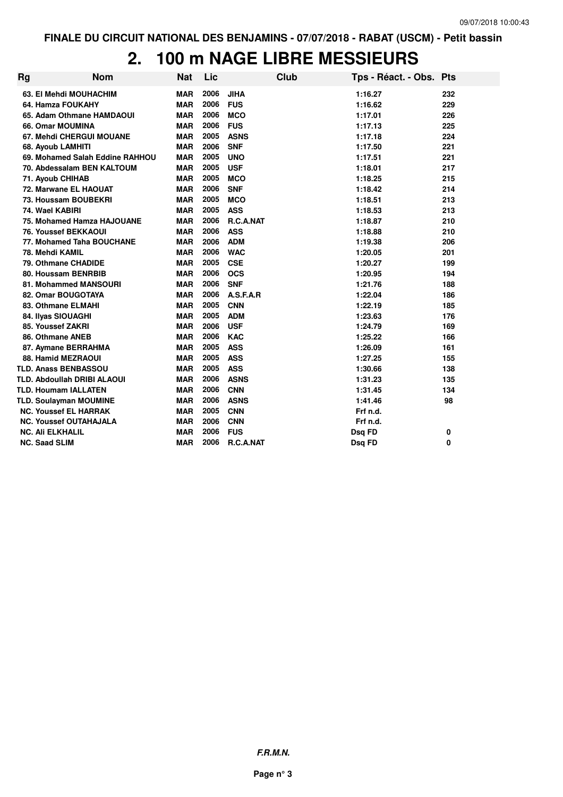# **2. 100 m NAGE LIBRE MESSIEURS**

| Rg | <b>Nom</b>                         | Nat        | Lic  |             | <b>Club</b> | Tps - Réact. - Obs. Pts |          |
|----|------------------------------------|------------|------|-------------|-------------|-------------------------|----------|
|    | 63. El Mehdi MOUHACHIM             | <b>MAR</b> | 2006 | <b>JIHA</b> |             | 1:16.27                 | 232      |
|    | 64. Hamza FOUKAHY                  | <b>MAR</b> | 2006 | <b>FUS</b>  |             | 1:16.62                 | 229      |
|    | 65. Adam Othmane HAMDAOUI          | <b>MAR</b> | 2006 | <b>MCO</b>  |             | 1:17.01                 | 226      |
|    | 66. Omar MOUMINA                   | <b>MAR</b> | 2006 | <b>FUS</b>  |             | 1:17.13                 | 225      |
|    | <b>67. Mehdi CHERGUI MOUANE</b>    | <b>MAR</b> | 2005 | <b>ASNS</b> |             | 1:17.18                 | 224      |
|    | 68. Ayoub LAMHITI                  | <b>MAR</b> | 2006 | <b>SNF</b>  |             | 1:17.50                 | 221      |
|    | 69. Mohamed Salah Eddine RAHHOU    | <b>MAR</b> | 2005 | <b>UNO</b>  |             | 1:17.51                 | 221      |
|    | 70. Abdessalam BEN KALTOUM         | <b>MAR</b> | 2005 | <b>USF</b>  |             | 1:18.01                 | 217      |
|    | 71. Ayoub CHIHAB                   | <b>MAR</b> | 2005 | <b>MCO</b>  |             | 1:18.25                 | 215      |
|    | 72. Marwane EL HAOUAT              | <b>MAR</b> | 2006 | <b>SNF</b>  |             | 1:18.42                 | 214      |
|    | 73. Houssam BOUBEKRI               | <b>MAR</b> | 2005 | <b>MCO</b>  |             | 1:18.51                 | 213      |
|    | 74. Wael KABIRI                    | <b>MAR</b> | 2005 | <b>ASS</b>  |             | 1:18.53                 | 213      |
|    | 75. Mohamed Hamza HAJOUANE         | <b>MAR</b> | 2006 | R.C.A.NAT   |             | 1:18.87                 | 210      |
|    | 76. Youssef BEKKAOUI               | <b>MAR</b> | 2006 | <b>ASS</b>  |             | 1:18.88                 | 210      |
|    | 77. Mohamed Taha BOUCHANE          | <b>MAR</b> | 2006 | <b>ADM</b>  |             | 1:19.38                 | 206      |
|    | 78. Mehdi KAMIL                    | <b>MAR</b> | 2006 | <b>WAC</b>  |             | 1:20.05                 | 201      |
|    | 79. Othmane CHADIDE                | <b>MAR</b> | 2005 | <b>CSE</b>  |             | 1:20.27                 | 199      |
|    | 80. Houssam BENRBIB                | <b>MAR</b> | 2006 | <b>OCS</b>  |             | 1:20.95                 | 194      |
|    | 81. Mohammed MANSOURI              | <b>MAR</b> | 2006 | <b>SNF</b>  |             | 1:21.76                 | 188      |
|    | 82. Omar BOUGOTAYA                 | <b>MAR</b> | 2006 | A.S.F.A.R   |             | 1:22.04                 | 186      |
|    | 83. Othmane ELMAHI                 | <b>MAR</b> | 2005 | <b>CNN</b>  |             | 1:22.19                 | 185      |
|    | 84. Ilyas SIOUAGHI                 | <b>MAR</b> | 2005 | <b>ADM</b>  |             | 1:23.63                 | 176      |
|    | 85. Youssef ZAKRI                  | <b>MAR</b> | 2006 | <b>USF</b>  |             | 1:24.79                 | 169      |
|    | 86. Othmane ANEB                   | <b>MAR</b> | 2006 | <b>KAC</b>  |             | 1:25.22                 | 166      |
|    | 87. Aymane BERRAHMA                | <b>MAR</b> | 2005 | <b>ASS</b>  |             | 1:26.09                 | 161      |
|    | 88. Hamid MEZRAOUI                 | <b>MAR</b> | 2005 | <b>ASS</b>  |             | 1:27.25                 | 155      |
|    | <b>TLD. Anass BENBASSOU</b>        | <b>MAR</b> | 2005 | <b>ASS</b>  |             | 1:30.66                 | 138      |
|    | <b>TLD. Abdoullah DRIBI ALAOUI</b> | <b>MAR</b> | 2006 | <b>ASNS</b> |             | 1:31.23                 | 135      |
|    | <b>TLD. Houmam IALLATEN</b>        | <b>MAR</b> | 2006 | <b>CNN</b>  |             | 1:31.45                 | 134      |
|    | <b>TLD. Soulayman MOUMINE</b>      | <b>MAR</b> | 2006 | <b>ASNS</b> |             | 1:41.46                 | 98       |
|    | <b>NC. Youssef EL HARRAK</b>       | MAR        | 2005 | <b>CNN</b>  |             | Frf n.d.                |          |
|    | <b>NC. Youssef OUTAHAJALA</b>      | <b>MAR</b> | 2006 | <b>CNN</b>  |             | Frf n.d.                |          |
|    | <b>NC. Ali ELKHALIL</b>            | <b>MAR</b> | 2006 | <b>FUS</b>  |             | Dsq FD                  | 0        |
|    | <b>NC. Saad SLIM</b>               | <b>MAR</b> | 2006 | R.C.A.NAT   |             | Dsq FD                  | $\bf{0}$ |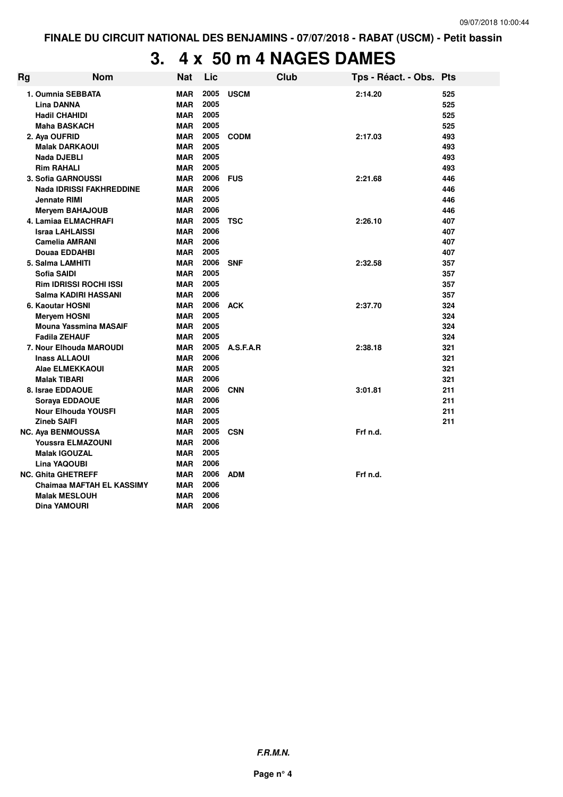# **3. 4 x 50 m 4 NAGES DAMES**

| Rg | <b>Nom</b>                                   | <b>Nat</b>        | Lic          |             | Club | Tps - Réact. - Obs. Pts |            |
|----|----------------------------------------------|-------------------|--------------|-------------|------|-------------------------|------------|
|    | 1. Oumnia SEBBATA                            | <b>MAR</b>        | 2005         | <b>USCM</b> |      | 2:14.20                 | 525        |
|    | <b>Lina DANNA</b>                            | <b>MAR</b>        | 2005         |             |      |                         | 525        |
|    | <b>Hadil CHAHIDI</b>                         | <b>MAR</b>        | 2005         |             |      |                         | 525        |
|    | <b>Maha BASKACH</b>                          | <b>MAR</b>        | 2005         |             |      |                         | 525        |
|    | 2. Aya OUFRID                                | <b>MAR</b>        | 2005         | <b>CODM</b> |      | 2:17.03                 | 493        |
|    | <b>Malak DARKAOUI</b>                        | <b>MAR</b>        | 2005         |             |      |                         | 493        |
|    | Nada DJEBLI                                  | <b>MAR</b>        | 2005         |             |      |                         | 493        |
|    | <b>Rim RAHALI</b>                            | <b>MAR</b>        | 2005         |             |      |                         | 493        |
|    | 3. Sofia GARNOUSSI                           | MAR               | 2006         | <b>FUS</b>  |      | 2:21.68                 | 446        |
|    | <b>Nada IDRISSI FAKHREDDINE</b>              | MAR               | 2006         |             |      |                         | 446        |
|    | <b>Jennate RIMI</b>                          | <b>MAR</b>        | 2005         |             |      |                         | 446        |
|    | <b>Meryem BAHAJOUB</b>                       | <b>MAR</b>        | 2006         |             |      |                         | 446        |
|    | 4. Lamiaa ELMACHRAFI                         | <b>MAR</b>        | 2005         | <b>TSC</b>  |      | 2:26.10                 | 407        |
|    | <b>Israa LAHLAISSI</b>                       | <b>MAR</b>        | 2006         |             |      |                         | 407        |
|    | <b>Camelia AMRANI</b>                        | <b>MAR</b>        | 2006         |             |      |                         | 407        |
|    | Douaa EDDAHBI                                | <b>MAR</b>        | 2005         |             |      |                         | 407        |
|    | 5. Salma LAMHITI                             | <b>MAR</b>        | 2006<br>2005 | <b>SNF</b>  |      | 2:32.58                 | 357        |
|    | <b>Sofia SAIDI</b>                           | <b>MAR</b>        | 2005         |             |      |                         | 357        |
|    | Rim IDRISSI ROCHI ISSI                       | <b>MAR</b>        | 2006         |             |      |                         | 357        |
|    | Salma KADIRI HASSANI                         | MAR<br><b>MAR</b> | 2006         | <b>ACK</b>  |      | 2:37.70                 | 357<br>324 |
|    | 6. Kaoutar HOSNI                             | <b>MAR</b>        | 2005         |             |      |                         | 324        |
|    | <b>Meryem HOSNI</b><br>Mouna Yassmina MASAIF | <b>MAR</b>        | 2005         |             |      |                         | 324        |
|    | <b>Fadila ZEHAUF</b>                         | <b>MAR</b>        | 2005         |             |      |                         | 324        |
|    | 7. Nour Elhouda MAROUDI                      | <b>MAR</b>        | 2005         | A.S.F.A.R   |      | 2:38.18                 | 321        |
|    | <b>Inass ALLAOUI</b>                         | <b>MAR</b>        | 2006         |             |      |                         | 321        |
|    | Alae ELMEKKAOUI                              | <b>MAR</b>        | 2005         |             |      |                         | 321        |
|    | <b>Malak TIBARI</b>                          | <b>MAR</b>        | 2006         |             |      |                         | 321        |
|    | 8. Israe EDDAOUE                             | <b>MAR</b>        | 2006         | <b>CNN</b>  |      | 3:01.81                 | 211        |
|    | Soraya EDDAOUE                               | <b>MAR</b>        | 2006         |             |      |                         | 211        |
|    | <b>Nour Elhouda YOUSFI</b>                   | <b>MAR</b>        | 2005         |             |      |                         | 211        |
|    | <b>Zineb SAIFI</b>                           | <b>MAR</b>        | 2005         |             |      |                         | 211        |
|    | <b>NC. Aya BENMOUSSA</b>                     | <b>MAR</b>        | 2005         | <b>CSN</b>  |      | Frf n.d.                |            |
|    | Youssra ELMAZOUNI                            | <b>MAR</b>        | 2006         |             |      |                         |            |
|    | <b>Malak IGOUZAL</b>                         | <b>MAR</b>        | 2005         |             |      |                         |            |
|    | Lina YAQOUBI                                 | <b>MAR</b>        | 2006         |             |      |                         |            |
|    | <b>NC. Ghita GHETREFF</b>                    | <b>MAR</b>        | 2006         | <b>ADM</b>  |      | Frf n.d.                |            |
|    | Chaimaa MAFTAH EL KASSIMY                    | <b>MAR</b>        | 2006         |             |      |                         |            |
|    | <b>Malak MESLOUH</b>                         | <b>MAR</b>        | 2006         |             |      |                         |            |
|    | Dina YAMOURI                                 | <b>MAR</b>        | 2006         |             |      |                         |            |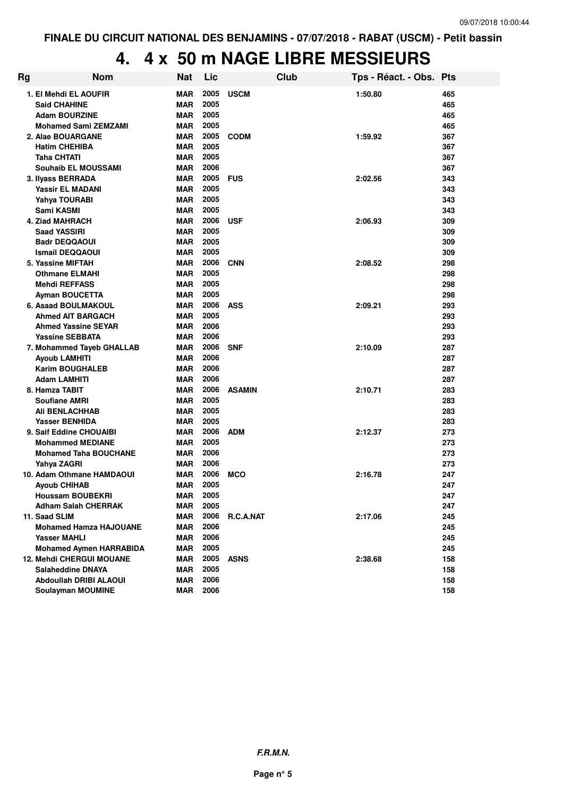# **4. 4 x 50 m NAGE LIBRE MESSIEURS**

| Rg | <b>Nom</b>                                     | Nat               | Lic          | Club             | Tps - Réact. - Obs. Pts |            |
|----|------------------------------------------------|-------------------|--------------|------------------|-------------------------|------------|
|    | 1. El Mehdi EL AOUFIR                          | <b>MAR</b>        | 2005         | <b>USCM</b>      | 1:50.80                 | 465        |
|    | <b>Said CHAHINE</b>                            | <b>MAR</b>        | 2005         |                  |                         | 465        |
|    | <b>Adam BOURZINE</b>                           | <b>MAR</b>        | 2005         |                  |                         | 465        |
|    | <b>Mohamed Sami ZEMZAMI</b>                    | <b>MAR</b>        | 2005         |                  |                         | 465        |
|    | 2. Alae BOUARGANE                              | MAR               | 2005         | <b>CODM</b>      | 1:59.92                 | 367        |
|    | <b>Hatim CHEHIBA</b>                           | MAR               | 2005         |                  |                         | 367        |
|    | <b>Taha CHTATI</b>                             | MAR               | 2005         |                  |                         | 367        |
|    | <b>Souhaib EL MOUSSAMI</b>                     | <b>MAR</b>        | 2006         |                  |                         | 367        |
|    | 3. Ilyass BERRADA                              | MAR               | 2005         | <b>FUS</b>       | 2:02.56                 | 343        |
|    | <b>Yassir EL MADANI</b>                        | <b>MAR</b>        | 2005         |                  |                         | 343        |
|    | Yahya TOURABI                                  | MAR               | 2005         |                  |                         | 343        |
|    | Sami KASMI                                     | <b>MAR</b>        | 2005         |                  |                         | 343        |
|    | 4. Ziad MAHRACH                                | MAR               | 2006         | <b>USF</b>       | 2:06.93                 | 309        |
|    | <b>Saad YASSIRI</b>                            | MAR               | 2005         |                  |                         | 309        |
|    | <b>Badr DEQQAOUI</b>                           | <b>MAR</b>        | 2005         |                  |                         | 309        |
|    | <b>Ismail DEQQAOUI</b>                         | MAR               | 2005         |                  |                         | 309        |
|    | 5. Yassine MIFTAH                              | <b>MAR</b>        | 2006         | <b>CNN</b>       | 2:08.52                 | 298        |
|    | <b>Othmane ELMAHI</b>                          | MAR               | 2005         |                  |                         | 298        |
|    | <b>Mehdi REFFASS</b>                           | <b>MAR</b>        | 2005         |                  |                         | 298        |
|    | <b>Ayman BOUCETTA</b>                          | MAR               | 2005         |                  |                         | 298        |
|    | 6. Asaad BOULMAKOUL                            | <b>MAR</b>        | 2006         | <b>ASS</b>       | 2:09.21                 | 293        |
|    | <b>Ahmed AIT BARGACH</b>                       | <b>MAR</b>        | 2005         |                  |                         | 293        |
|    | <b>Ahmed Yassine SEYAR</b>                     | <b>MAR</b>        | 2006         |                  |                         | 293        |
|    | <b>Yassine SEBBATA</b>                         | MAR               | 2006         |                  |                         | 293        |
|    | 7. Mohammed Tayeb GHALLAB                      | <b>MAR</b>        | 2006         | <b>SNF</b>       | 2:10.09                 | 287        |
|    | Ayoub LAMHITI                                  | <b>MAR</b>        | 2006         |                  |                         | 287        |
|    | <b>Karim BOUGHALEB</b>                         | MAR               | 2006         |                  |                         | 287        |
|    | <b>Adam LAMHITI</b>                            | <b>MAR</b>        | 2006         |                  |                         | 287        |
|    | 8. Hamza TABIT                                 | <b>MAR</b>        | 2006<br>2005 | <b>ASAMIN</b>    | 2:10.71                 | 283        |
|    | <b>Soufiane AMRI</b>                           | <b>MAR</b>        | 2005         |                  |                         | 283<br>283 |
|    | <b>Ali BENLACHHAB</b><br><b>Yasser BENHIDA</b> | MAR<br><b>MAR</b> | 2005         |                  |                         | 283        |
|    | 9. Saif Eddine CHOUAIBI                        | MAR               | 2006         | <b>ADM</b>       | 2:12.37                 | 273        |
|    | <b>Mohammed MEDIANE</b>                        | MAR               | 2005         |                  |                         | 273        |
|    | <b>Mohamed Taha BOUCHANE</b>                   | MAR               | 2006         |                  |                         | 273        |
|    | Yahya ZAGRI                                    | MAR               | 2006         |                  |                         | 273        |
|    | 10. Adam Othmane HAMDAOUI                      | <b>MAR</b>        | 2006         | <b>MCO</b>       | 2:16.78                 | 247        |
|    | <b>Ayoub CHIHAB</b>                            | <b>MAR</b>        | 2005         |                  |                         | 247        |
|    | <b>Houssam BOUBEKRI</b>                        | <b>MAR</b>        | 2005         |                  |                         | 247        |
|    | <b>Adham Salah CHERRAK</b>                     | MAR               | 2005         |                  |                         | 247        |
|    | 11. Saad SLIM                                  | MAR               | 2006         | <b>R.C.A.NAT</b> | 2:17.06                 | 245        |
|    | <b>Mohamed Hamza HAJOUANE</b>                  | <b>MAR</b>        | 2006         |                  |                         | 245        |
|    | <b>Yasser MAHLI</b>                            | MAR               | 2006         |                  |                         | 245        |
|    | <b>Mohamed Aymen HARRABIDA</b>                 | <b>MAR</b>        | 2005         |                  |                         | 245        |
|    | 12. Mehdi CHERGUI MOUANE                       | MAR               | 2005         | <b>ASNS</b>      | 2:38.68                 | 158        |
|    | <b>Salaheddine DNAYA</b>                       | <b>MAR</b>        | 2005         |                  |                         | 158        |
|    | <b>Abdoullah DRIBI ALAOUI</b>                  | MAR               | 2006         |                  |                         | 158        |
|    | <b>Soulayman MOUMINE</b>                       | MAR               | 2006         |                  |                         | 158        |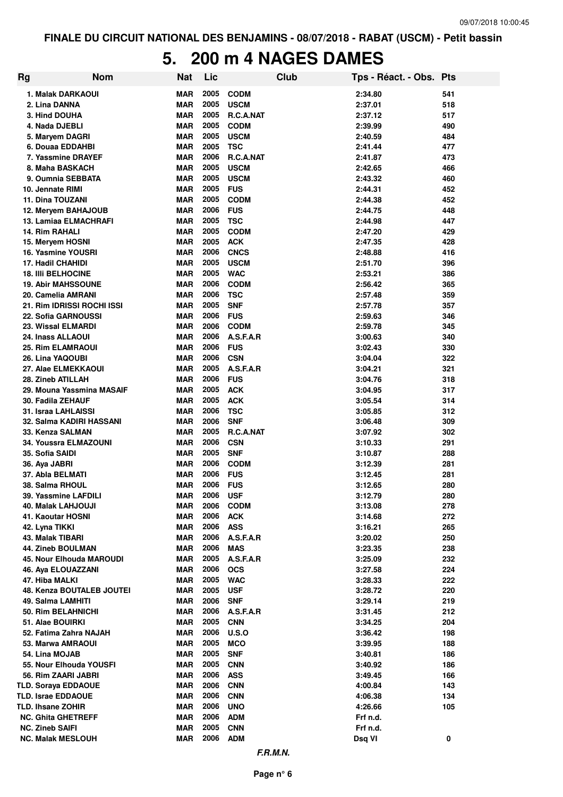### **5. 200 m 4 NAGES DAMES**

| <b>Rg</b>                 | <b>Nom</b>                                    | Nat                      | Lic          |                            | <b>Club</b> | Tps - Réact. - Obs. | <b>Pts</b> |
|---------------------------|-----------------------------------------------|--------------------------|--------------|----------------------------|-------------|---------------------|------------|
|                           | 1. Malak DARKAOUI                             | <b>MAR</b>               | 2005         | <b>CODM</b>                |             | 2:34.80             | 541        |
| 2. Lina DANNA             |                                               | MAR                      | 2005         | <b>USCM</b>                |             | 2:37.01             | 518        |
| 3. Hind DOUHA             |                                               | MAR                      | 2005         | R.C.A.NAT                  |             | 2:37.12             | 517        |
| 4. Nada DJEBLI            |                                               | <b>MAR</b>               | 2005         | <b>CODM</b>                |             | 2:39.99             | 490        |
|                           | 5. Maryem DAGRI                               | <b>MAR</b>               | 2005         | <b>USCM</b>                |             | 2:40.59             | 484        |
|                           | 6. Douaa EDDAHBI                              | MAR                      | 2005         | <b>TSC</b>                 |             | 2:41.44             | 477        |
|                           | 7. Yassmine DRAYEF                            | <b>MAR</b>               | 2006         | R.C.A.NAT                  |             | 2:41.87             | 473        |
|                           | 8. Maha BASKACH                               | <b>MAR</b>               | 2005         | <b>USCM</b>                |             | 2:42.65             | 466        |
|                           | 9. Oumnia SEBBATA                             | <b>MAR</b>               | 2005         | <b>USCM</b>                |             | 2:43.32             | 460        |
| 10. Jennate RIMI          |                                               | <b>MAR</b>               | 2005         | <b>FUS</b>                 |             | 2:44.31             | 452        |
| 11. Dina TOUZANI          |                                               | <b>MAR</b>               | 2005         | <b>CODM</b>                |             | 2:44.38             | 452        |
|                           | 12. Meryem BAHAJOUB                           | <b>MAR</b>               | 2006         | <b>FUS</b>                 |             | 2:44.75             | 448        |
|                           | 13. Lamiaa ELMACHRAFI                         | <b>MAR</b>               | 2005         | <b>TSC</b>                 |             | 2:44.98             | 447        |
| <b>14. Rim RAHALI</b>     |                                               | <b>MAR</b>               | 2005         | <b>CODM</b>                |             | 2:47.20             | 429        |
| 15. Meryem HOSNI          | 16. Yasmine YOUSRI                            | <b>MAR</b><br><b>MAR</b> | 2005<br>2006 | <b>ACK</b>                 |             | 2:47.35             | 428<br>416 |
| <b>17. Hadil CHAHIDI</b>  |                                               | MAR                      | 2005         | <b>CNCS</b><br><b>USCM</b> |             | 2:48.88<br>2:51.70  | 396        |
| <b>18. IIII BELHOCINE</b> |                                               | <b>MAR</b>               | 2005         | <b>WAC</b>                 |             | 2:53.21             | 386        |
|                           | <b>19. Abir MAHSSOUNE</b>                     | <b>MAR</b>               | 2006         | <b>CODM</b>                |             | 2:56.42             | 365        |
|                           | 20. Camelia AMRANI                            | <b>MAR</b>               | 2006         | <b>TSC</b>                 |             | 2:57.48             | 359        |
|                           | 21. Rim IDRISSI ROCHI ISSI                    | <b>MAR</b>               | 2005         | <b>SNF</b>                 |             | 2:57.78             | 357        |
|                           | <b>22. Sofia GARNOUSSI</b>                    | <b>MAR</b>               | 2006         | <b>FUS</b>                 |             | 2:59.63             | 346        |
|                           | 23. Wissal ELMARDI                            | <b>MAR</b>               | 2006         | <b>CODM</b>                |             | 2:59.78             | 345        |
| 24. Inass ALLAOUI         |                                               | <b>MAR</b>               | 2006         | A.S.F.A.R                  |             | 3:00.63             | 340        |
|                           | 25. Rim ELAMRAOUI                             | <b>MAR</b>               | 2006         | <b>FUS</b>                 |             | 3:02.43             | 330        |
| 26. Lina YAQOUBI          |                                               | <b>MAR</b>               | 2006         | <b>CSN</b>                 |             | 3:04.04             | 322        |
|                           | 27. Alae ELMEKKAOUI                           | <b>MAR</b>               | 2005         | A.S.F.A.R                  |             | 3:04.21             | 321        |
| 28. Zineb ATILLAH         |                                               | MAR                      | 2006         | <b>FUS</b>                 |             | 3:04.76             | 318        |
|                           | 29. Mouna Yassmina MASAIF                     | <b>MAR</b>               | 2005         | <b>ACK</b>                 |             | 3:04.95             | 317        |
| 30. Fadila ZEHAUF         |                                               | <b>MAR</b>               | 2005         | <b>ACK</b>                 |             | 3:05.54             | 314        |
|                           | 31. Israa LAHLAISSI                           | MAR                      | 2006         | <b>TSC</b>                 |             | 3:05.85             | 312        |
|                           | 32. Salma KADIRI HASSANI                      | MAR                      | 2006         | <b>SNF</b>                 |             | 3:06.48             | 309        |
|                           | 33. Kenza SALMAN                              | MAR                      | 2005         | R.C.A.NAT                  |             | 3:07.92             | 302        |
|                           | 34. Youssra ELMAZOUNI                         | <b>MAR</b>               | 2006         | <b>CSN</b>                 |             | 3:10.33             | 291        |
| 35. Sofia SAIDI           |                                               | <b>MAR</b>               | 2005         | <b>SNF</b>                 |             | 3:10.87             | 288        |
| 36. Aya JABRI             |                                               | <b>MAR</b>               | 2006         | <b>CODM</b>                |             | 3:12.39             | 281        |
| 37. Abla BELMATI          |                                               | <b>MAR</b>               | 2006         | <b>FUS</b>                 |             | 3:12.45             | 281        |
| 38. Salma RHOUL           |                                               | <b>MAR</b>               | 2006         | <b>FUS</b>                 |             | 3:12.65             | 280        |
|                           | 39. Yassmine LAFDILI                          | <b>MAR</b>               | 2006 USF     |                            |             | 3:12.79             | 280        |
|                           | 40. Malak LAHJOUJI                            | MAR                      |              | 2006 CODM                  |             | 3:13.08             | 278        |
| 41. Kaoutar HOSNI         |                                               | <b>MAR</b>               | 2006         | <b>ACK</b>                 |             | 3:14.68             | 272        |
| 42. Lyna TIKKI            |                                               | <b>MAR</b>               | 2006         | <b>ASS</b>                 |             | 3:16.21             | 265        |
| 43. Malak TIBARI          |                                               | MAR                      | 2006<br>2006 | A.S.F.A.R                  |             | 3:20.02             | 250        |
|                           | 44. Zineb BOULMAN<br>45. Nour Elhouda MAROUDI | <b>MAR</b><br><b>MAR</b> | 2005         | <b>MAS</b><br>A.S.F.A.R    |             | 3:23.35<br>3:25.09  | 238<br>232 |
|                           | 46. Aya ELOUAZZANI                            | <b>MAR</b>               | 2006         | <b>OCS</b>                 |             | 3:27.58             | 224        |
| 47. Hiba MALKI            |                                               | <b>MAR</b>               | 2005         | <b>WAC</b>                 |             | 3:28.33             | 222        |
|                           | 48. Kenza BOUTALEB JOUTEI                     | <b>MAR</b>               | 2005         | <b>USF</b>                 |             | 3:28.72             | 220        |
| 49. Salma LAMHITI         |                                               | <b>MAR</b>               | 2006         | <b>SNF</b>                 |             | 3:29.14             | 219        |
|                           | 50. Rim BELAHNICHI                            | <b>MAR</b>               | 2006         | A.S.F.A.R                  |             | 3:31.45             | 212        |
| 51. Alae BOUIRKI          |                                               | <b>MAR</b>               | 2005         | <b>CNN</b>                 |             | 3:34.25             | 204        |
|                           | 52. Fatima Zahra NAJAH                        | <b>MAR</b>               | 2006         | <b>U.S.O</b>               |             | 3:36.42             | 198        |
|                           | 53. Marwa AMRAOUI                             | <b>MAR</b>               | 2005         | <b>MCO</b>                 |             | 3:39.95             | 188        |
| 54. Lina MOJAB            |                                               | <b>MAR</b>               | 2005         | <b>SNF</b>                 |             | 3:40.81             | 186        |
|                           | 55. Nour Elhouda YOUSFI                       | <b>MAR</b>               | 2005         | <b>CNN</b>                 |             | 3:40.92             | 186        |
|                           | 56. Rim ZAARI JABRI                           | <b>MAR</b>               | 2006         | <b>ASS</b>                 |             | 3:49.45             | 166        |
|                           | <b>TLD. Soraya EDDAOUE</b>                    | <b>MAR</b>               | 2006         | <b>CNN</b>                 |             | 4:00.84             | 143        |
| <b>TLD. Israe EDDAOUE</b> |                                               | <b>MAR</b>               | 2006         | <b>CNN</b>                 |             | 4:06.38             | 134        |
| <b>TLD. Ihsane ZOHIR</b>  |                                               | <b>MAR</b>               | 2006         | <b>UNO</b>                 |             | 4:26.66             | 105        |
|                           | <b>NC. Ghita GHETREFF</b>                     | <b>MAR</b>               | 2006         | <b>ADM</b>                 |             | Frf n.d.            |            |
| <b>NC. Zineb SAIFI</b>    |                                               | <b>MAR</b>               | 2005         | <b>CNN</b>                 |             | Frf n.d.            |            |
|                           | <b>NC. Malak MESLOUH</b>                      | <b>MAR</b>               | 2006         | <b>ADM</b>                 |             | Dsq VI              | 0          |
|                           |                                               |                          |              |                            |             |                     |            |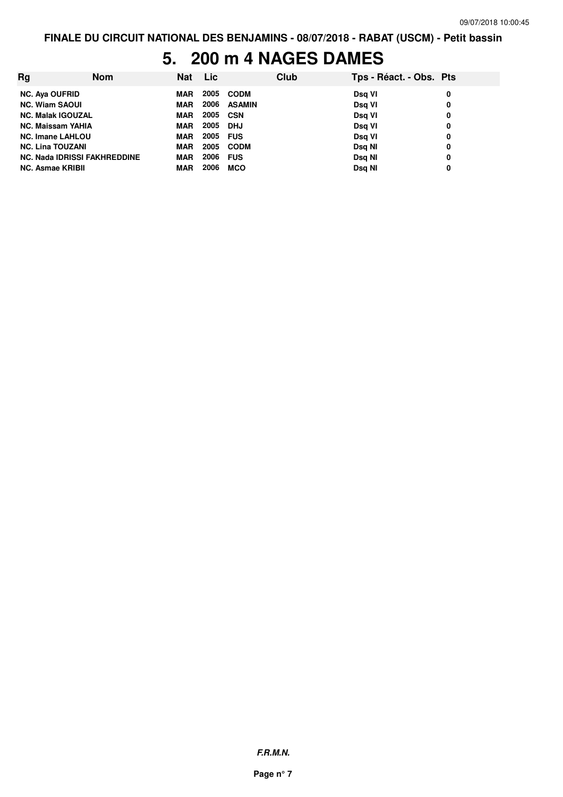## **5. 200 m 4 NAGES DAMES**

| Rg                                  | <b>Nom</b> | <b>Nat</b> | Lic  |               | Club | Tps - Réact. - Obs. Pts |   |
|-------------------------------------|------------|------------|------|---------------|------|-------------------------|---|
| <b>NC. Aya OUFRID</b>               |            | MAR        | 2005 | <b>CODM</b>   |      | Dsg VI                  | 0 |
| <b>NC. Wiam SAOUI</b>               |            | MAR        | 2006 | <b>ASAMIN</b> |      | Dsg VI                  | 0 |
| <b>NC. Malak IGOUZAL</b>            |            | <b>MAR</b> | 2005 | CSN           |      | Dsg VI                  | 0 |
| <b>NC. Maissam YAHIA</b>            |            | <b>MAR</b> | 2005 | DHJ           |      | Dsg VI                  | 0 |
| <b>NC. Imane LAHLOU</b>             |            | <b>MAR</b> | 2005 | <b>FUS</b>    |      | Dsg VI                  | 0 |
| <b>NC. Lina TOUZANI</b>             |            | MAR        | 2005 | <b>CODM</b>   |      | Dsg NI                  | 0 |
| <b>NC. Nada IDRISSI FAKHREDDINE</b> |            | <b>MAR</b> | 2006 | <b>FUS</b>    |      | Dsg NI                  | 0 |
| <b>NC. Asmae KRIBII</b>             |            | <b>MAR</b> | 2006 | <b>MCO</b>    |      | Dsg NI                  | 0 |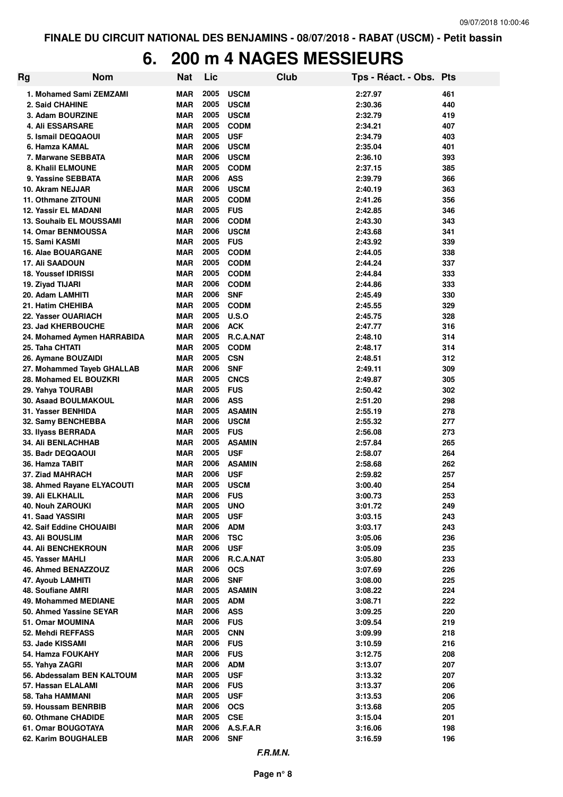### **6. 200 m 4 NAGES MESSIEURS**

| Rg | <b>Nom</b>                                     | <b>Nat</b>        | Lic          |                           | Club | Tps - Réact. - Obs. Pts |            |
|----|------------------------------------------------|-------------------|--------------|---------------------------|------|-------------------------|------------|
|    | 1. Mohamed Sami ZEMZAMI                        | MAR               | 2005         | <b>USCM</b>               |      | 2:27.97                 | 461        |
|    | 2. Said CHAHINE                                | MAR               | 2005         | <b>USCM</b>               |      | 2:30.36                 | 440        |
|    | 3. Adam BOURZINE                               | MAR               | 2005         | <b>USCM</b>               |      | 2:32.79                 | 419        |
|    | <b>4. Ali ESSARSARE</b>                        | MAR               | 2005         | <b>CODM</b>               |      | 2:34.21                 | 407        |
|    | 5. Ismail DEQQAOUI                             | MAR               | 2005         | <b>USF</b>                |      | 2:34.79                 | 403        |
|    | 6. Hamza KAMAL                                 | <b>MAR</b>        | 2006         | <b>USCM</b>               |      | 2:35.04                 | 401        |
|    | 7. Marwane SEBBATA                             | <b>MAR</b>        | 2006         | <b>USCM</b>               |      | 2:36.10                 | 393        |
|    | <b>8. Khalil ELMOUNE</b>                       | <b>MAR</b>        | 2005         | <b>CODM</b>               |      | 2:37.15                 | 385        |
|    | 9. Yassine SEBBATA                             | <b>MAR</b>        | 2006         | <b>ASS</b>                |      | 2:39.79                 | 366        |
|    | 10. Akram NEJJAR                               | <b>MAR</b>        | 2006         | <b>USCM</b>               |      | 2:40.19                 | 363        |
|    | 11. Othmane ZITOUNI                            | MAR               | 2005         | <b>CODM</b>               |      | 2:41.26                 | 356        |
|    | <b>12. Yassir EL MADANI</b>                    | <b>MAR</b>        | 2005         | <b>FUS</b>                |      | 2:42.85                 | 346        |
|    | <b>13. Souhaib EL MOUSSAMI</b>                 | <b>MAR</b>        | 2006         | <b>CODM</b>               |      | 2:43.30                 | 343        |
|    | <b>14. Omar BENMOUSSA</b>                      | <b>MAR</b>        | 2006         | <b>USCM</b>               |      | 2:43.68                 | 341        |
|    | 15. Sami KASMI                                 | <b>MAR</b>        | 2005         | <b>FUS</b>                |      | 2:43.92                 | 339        |
|    | <b>16. Alae BOUARGANE</b>                      | MAR               | 2005         | <b>CODM</b>               |      | 2:44.05                 | 338        |
|    | <b>17. Ali SAADOUN</b>                         | <b>MAR</b>        | 2005         | <b>CODM</b>               |      | 2:44.24                 | 337        |
|    | <b>18. Youssef IDRISSI</b>                     | MAR               | 2005         | <b>CODM</b>               |      | 2:44.84                 | 333        |
|    | 19. Ziyad TIJARI                               | MAR               | 2006         | <b>CODM</b>               |      | 2:44.86                 | 333        |
|    | 20. Adam LAMHITI                               | MAR               | 2006         | <b>SNF</b>                |      | 2:45.49                 | 330        |
|    | 21. Hatim CHEHIBA                              | <b>MAR</b>        | 2005         | <b>CODM</b>               |      | 2:45.55                 | 329        |
|    | 22. Yasser OUARIACH                            | <b>MAR</b>        | 2005         | U.S.O                     |      | 2:45.75                 | 328        |
|    | 23. Jad KHERBOUCHE                             | MAR               | 2006         | <b>ACK</b>                |      | 2:47.77                 | 316        |
|    | 24. Mohamed Aymen HARRABIDA                    | MAR               | 2005         | R.C.A.NAT                 |      | 2:48.10                 | 314        |
|    | 25. Taha CHTATI                                | <b>MAR</b>        | 2005         | <b>CODM</b>               |      | 2:48.17                 | 314        |
|    | 26. Aymane BOUZAIDI                            | <b>MAR</b>        | 2005         | <b>CSN</b>                |      | 2:48.51                 | 312        |
|    | 27. Mohammed Tayeb GHALLAB                     | <b>MAR</b>        | 2006         | <b>SNF</b>                |      | 2:49.11                 | 309        |
|    | 28. Mohamed EL BOUZKRI                         | <b>MAR</b>        | 2005         | <b>CNCS</b>               |      | 2:49.87                 | 305        |
|    | 29. Yahya TOURABI                              | <b>MAR</b>        | 2005         | <b>FUS</b>                |      | 2:50.42                 | 302        |
|    | 30. Asaad BOULMAKOUL                           | MAR               | 2006         | <b>ASS</b>                |      | 2:51.20                 | 298        |
|    | 31. Yasser BENHIDA                             | MAR               | 2005         | <b>ASAMIN</b>             |      | 2:55.19                 | 278        |
|    | 32. Samy BENCHEBBA                             | MAR               | 2006         | <b>USCM</b>               |      | 2:55.32                 | 277        |
|    | 33. Ilyass BERRADA                             | MAR               | 2005         | <b>FUS</b>                |      | 2:56.08                 | 273        |
|    | <b>34. Ali BENLACHHAB</b>                      | MAR               | 2005         | <b>ASAMIN</b>             |      | 2:57.84                 | 265        |
|    | 35. Badr DEQQAOUI                              | <b>MAR</b>        | 2005         | <b>USF</b>                |      | 2:58.07                 | 264        |
|    | 36. Hamza TABIT                                | <b>MAR</b>        | 2006         | <b>ASAMIN</b>             |      | 2:58.68                 | 262        |
|    | 37. Ziad MAHRACH                               | MAR               | 2006<br>2005 | <b>USF</b><br><b>USCM</b> |      | 2:59.82                 | 257        |
|    | 38. Ahmed Rayane ELYACOUTI<br>39. Ali ELKHALIL | MAR               | 2006         |                           |      | 3:00.40                 | 254        |
|    | <b>40. Nouh ZAROUKI</b>                        | <b>MAR</b><br>MAR | 2005         | <b>FUS</b>                |      | 3:00.73                 | 253        |
|    | 41. Saad YASSIRI                               | <b>MAR</b>        | 2005         | <b>UNO</b><br><b>USF</b>  |      | 3:01.72<br>3:03.15      | 249<br>243 |
|    | 42. Saif Eddine CHOUAIBI                       | <b>MAR</b>        | 2006         | <b>ADM</b>                |      | 3:03.17                 | 243        |
|    | <b>43. Ali BOUSLIM</b>                         | <b>MAR</b>        | 2006         | <b>TSC</b>                |      | 3:05.06                 | 236        |
|    | 44. Ali BENCHEKROUN                            | <b>MAR</b>        | 2006         | <b>USF</b>                |      | 3:05.09                 | 235        |
|    | 45. Yasser MAHLI                               | <b>MAR</b>        | 2006         | R.C.A.NAT                 |      | 3:05.80                 | 233        |
|    | 46. Ahmed BENAZZOUZ                            | <b>MAR</b>        | 2006         | <b>OCS</b>                |      | 3:07.69                 | 226        |
|    | 47. Ayoub LAMHITI                              | MAR               | 2006         | <b>SNF</b>                |      | 3:08.00                 | 225        |
|    | 48. Soufiane AMRI                              | <b>MAR</b>        | 2005         | <b>ASAMIN</b>             |      | 3:08.22                 | 224        |
|    | 49. Mohammed MEDIANE                           | <b>MAR</b>        | 2005         | <b>ADM</b>                |      | 3:08.71                 | 222        |
|    | 50. Ahmed Yassine SEYAR                        | <b>MAR</b>        | 2006         | <b>ASS</b>                |      | 3:09.25                 | 220        |
|    | 51. Omar MOUMINA                               | <b>MAR</b>        | 2006         | <b>FUS</b>                |      | 3:09.54                 | 219        |
|    | 52. Mehdi REFFASS                              | MAR               | 2005         | <b>CNN</b>                |      | 3:09.99                 | 218        |
|    | 53. Jade KISSAMI                               | <b>MAR</b>        | 2006         | <b>FUS</b>                |      | 3:10.59                 | 216        |
|    | 54. Hamza FOUKAHY                              | <b>MAR</b>        | 2006         | <b>FUS</b>                |      | 3:12.75                 | 208        |
|    | 55. Yahya ZAGRI                                | <b>MAR</b>        | 2006         | <b>ADM</b>                |      | 3:13.07                 | 207        |
|    | 56. Abdessalam BEN KALTOUM                     | <b>MAR</b>        | 2005         | <b>USF</b>                |      | 3:13.32                 | 207        |
|    | 57. Hassan ELALAMI                             | <b>MAR</b>        | 2006         | <b>FUS</b>                |      | 3:13.37                 | 206        |
|    | 58. Taha HAMMANI                               | <b>MAR</b>        | 2005         | <b>USF</b>                |      | 3:13.53                 | 206        |
|    | 59. Houssam BENRBIB                            | <b>MAR</b>        | 2006         | <b>OCS</b>                |      | 3:13.68                 | 205        |
|    | 60. Othmane CHADIDE                            | <b>MAR</b>        | 2005         | <b>CSE</b>                |      | 3:15.04                 | 201        |
|    | 61. Omar BOUGOTAYA                             | <b>MAR</b>        | 2006         | A.S.F.A.R                 |      | 3:16.06                 | 198        |
|    | 62. Karim BOUGHALEB                            | <b>MAR</b>        | 2006         | <b>SNF</b>                |      | 3:16.59                 | 196        |
|    |                                                |                   |              |                           |      |                         |            |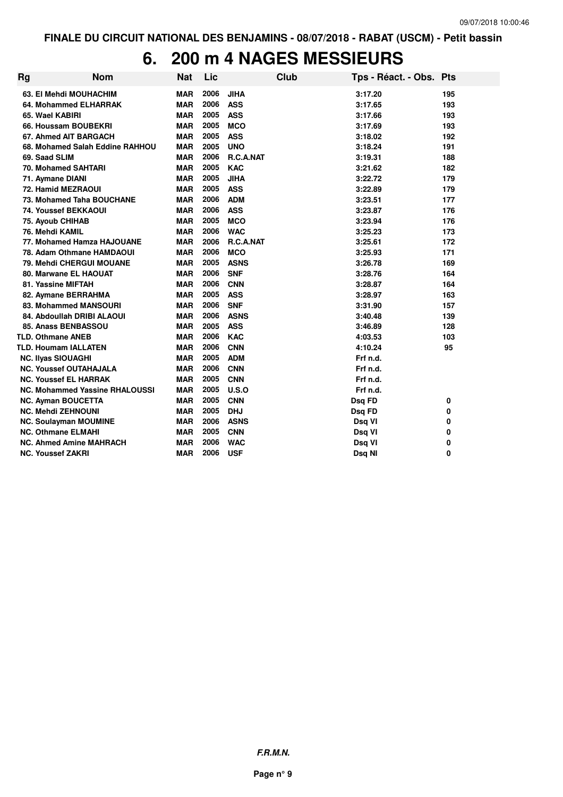# **6. 200 m 4 NAGES MESSIEURS**

| <b>Rg</b>                             | <b>Nom</b>                      | <b>Nat</b> | Lic  |             | <b>Club</b> | Tps - Réact. - Obs. Pts |     |
|---------------------------------------|---------------------------------|------------|------|-------------|-------------|-------------------------|-----|
| 63. El Mehdi MOUHACHIM                |                                 | <b>MAR</b> | 2006 | <b>JIHA</b> |             | 3:17.20                 | 195 |
| 64. Mohammed ELHARRAK                 |                                 | <b>MAR</b> | 2006 | <b>ASS</b>  |             | 3:17.65                 | 193 |
| 65. Wael KABIRI                       |                                 | <b>MAR</b> | 2005 | <b>ASS</b>  |             | 3:17.66                 | 193 |
| 66. Houssam BOUBEKRI                  |                                 | <b>MAR</b> | 2005 | <b>MCO</b>  |             | 3:17.69                 | 193 |
| 67. Ahmed AIT BARGACH                 |                                 | <b>MAR</b> | 2005 | <b>ASS</b>  |             | 3:18.02                 | 192 |
|                                       | 68. Mohamed Salah Eddine RAHHOU | <b>MAR</b> | 2005 | <b>UNO</b>  |             | 3:18.24                 | 191 |
| 69. Saad SLIM                         |                                 | <b>MAR</b> | 2006 | R.C.A.NAT   |             | 3:19.31                 | 188 |
| 70. Mohamed SAHTARI                   |                                 | <b>MAR</b> | 2005 | <b>KAC</b>  |             | 3:21.62                 | 182 |
| 71. Aymane DIANI                      |                                 | <b>MAR</b> | 2005 | <b>JIHA</b> |             | 3:22.72                 | 179 |
| 72. Hamid MEZRAOUI                    |                                 | <b>MAR</b> | 2005 | <b>ASS</b>  |             | 3:22.89                 | 179 |
| 73. Mohamed Taha BOUCHANE             |                                 | <b>MAR</b> | 2006 | <b>ADM</b>  |             | 3:23.51                 | 177 |
| <b>74. Youssef BEKKAOUI</b>           |                                 | <b>MAR</b> | 2006 | <b>ASS</b>  |             | 3:23.87                 | 176 |
| <b>75. Ayoub CHIHAB</b>               |                                 | <b>MAR</b> | 2005 | <b>MCO</b>  |             | 3:23.94                 | 176 |
| 76. Mehdi KAMIL                       |                                 | <b>MAR</b> | 2006 | <b>WAC</b>  |             | 3:25.23                 | 173 |
| 77. Mohamed Hamza HAJOUANE            |                                 | <b>MAR</b> | 2006 | R.C.A.NAT   |             | 3:25.61                 | 172 |
| 78. Adam Othmane HAMDAOUI             |                                 | <b>MAR</b> | 2006 | <b>MCO</b>  |             | 3:25.93                 | 171 |
| 79. Mehdi CHERGUI MOUANE              |                                 | <b>MAR</b> | 2005 | <b>ASNS</b> |             | 3:26.78                 | 169 |
| 80. Marwane EL HAOUAT                 |                                 | <b>MAR</b> | 2006 | <b>SNF</b>  |             | 3:28.76                 | 164 |
| 81. Yassine MIFTAH                    |                                 | <b>MAR</b> | 2006 | <b>CNN</b>  |             | 3:28.87                 | 164 |
| 82. Aymane BERRAHMA                   |                                 | <b>MAR</b> | 2005 | <b>ASS</b>  |             | 3:28.97                 | 163 |
| 83. Mohammed MANSOURI                 |                                 | <b>MAR</b> | 2006 | <b>SNF</b>  |             | 3:31.90                 | 157 |
| 84. Abdoullah DRIBI ALAOUI            |                                 | <b>MAR</b> | 2006 | <b>ASNS</b> |             | 3:40.48                 | 139 |
| 85. Anass BENBASSOU                   |                                 | <b>MAR</b> | 2005 | <b>ASS</b>  |             | 3:46.89                 | 128 |
| <b>TLD. Othmane ANEB</b>              |                                 | <b>MAR</b> | 2006 | <b>KAC</b>  |             | 4:03.53                 | 103 |
| <b>TLD. Houmam IALLATEN</b>           |                                 | <b>MAR</b> | 2006 | <b>CNN</b>  |             | 4:10.24                 | 95  |
| <b>NC. Ilyas SIOUAGHI</b>             |                                 | <b>MAR</b> | 2005 | <b>ADM</b>  |             | Frf n.d.                |     |
| <b>NC. Youssef OUTAHAJALA</b>         |                                 | <b>MAR</b> | 2006 | <b>CNN</b>  |             | Frf n.d.                |     |
| <b>NC. Youssef EL HARRAK</b>          |                                 | <b>MAR</b> | 2005 | <b>CNN</b>  |             | Frf n.d.                |     |
| <b>NC. Mohammed Yassine RHALOUSSI</b> |                                 | <b>MAR</b> | 2005 | U.S.O       |             | Frf n.d.                |     |
| <b>NC. Ayman BOUCETTA</b>             |                                 | <b>MAR</b> | 2005 | <b>CNN</b>  |             | Dsq FD                  | 0   |
| <b>NC. Mehdi ZEHNOUNI</b>             |                                 | <b>MAR</b> | 2005 | <b>DHJ</b>  |             | Dsq FD                  | 0   |
| <b>NC. Soulayman MOUMINE</b>          |                                 | <b>MAR</b> | 2006 | <b>ASNS</b> |             | Dsq VI                  | 0   |
| <b>NC. Othmane ELMAHI</b>             |                                 | <b>MAR</b> | 2005 | <b>CNN</b>  |             | Dsq VI                  | 0   |
| <b>NC. Ahmed Amine MAHRACH</b>        |                                 | <b>MAR</b> | 2006 | <b>WAC</b>  |             | Dsq VI                  | 0   |
| <b>NC. Youssef ZAKRI</b>              |                                 | <b>MAR</b> | 2006 | <b>USF</b>  |             | Dsq NI                  | 0   |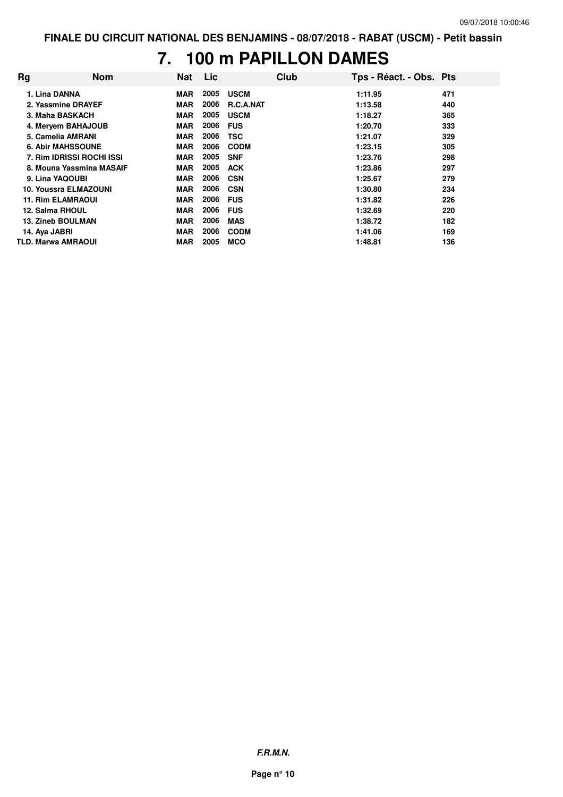# **7. 100 m PAPILLON DAMES**

| Rg | <b>Nom</b>                | <b>Nat</b> | Lic. |                  | Club | Tps - Réact. - Obs. Pts |     |
|----|---------------------------|------------|------|------------------|------|-------------------------|-----|
|    | 1. Lina DANNA             | <b>MAR</b> | 2005 | <b>USCM</b>      |      | 1:11.95                 | 471 |
|    | 2. Yassmine DRAYEF        | <b>MAR</b> | 2006 | <b>R.C.A.NAT</b> |      | 1:13.58                 | 440 |
|    | 3. Maha BASKACH           | <b>MAR</b> | 2005 | <b>USCM</b>      |      | 1:18.27                 | 365 |
|    | 4. Meryem BAHAJOUB        | <b>MAR</b> | 2006 | <b>FUS</b>       |      | 1:20.70                 | 333 |
|    | 5. Camelia AMRANI         | <b>MAR</b> | 2006 | <b>TSC</b>       |      | 1:21.07                 | 329 |
|    | <b>6. Abir MAHSSOUNE</b>  | <b>MAR</b> | 2006 | <b>CODM</b>      |      | 1:23.15                 | 305 |
|    | 7. Rim IDRISSI ROCHI ISSI | <b>MAR</b> | 2005 | <b>SNF</b>       |      | 1:23.76                 | 298 |
|    | 8. Mouna Yassmina MASAIF  | <b>MAR</b> | 2005 | <b>ACK</b>       |      | 1:23.86                 | 297 |
|    | 9. Lina YAQOUBI           | <b>MAR</b> | 2006 | <b>CSN</b>       |      | 1:25.67                 | 279 |
|    | 10. Youssra ELMAZOUNI     | <b>MAR</b> | 2006 | <b>CSN</b>       |      | 1:30.80                 | 234 |
|    | <b>11. Rim ELAMRAOUI</b>  | <b>MAR</b> | 2006 | <b>FUS</b>       |      | 1:31.82                 | 226 |
|    | 12. Salma RHOUL           | <b>MAR</b> | 2006 | <b>FUS</b>       |      | 1:32.69                 | 220 |
|    | <b>13. Zineb BOULMAN</b>  | <b>MAR</b> | 2006 | <b>MAS</b>       |      | 1:38.72                 | 182 |
|    | 14. Aya JABRI             | <b>MAR</b> | 2006 | <b>CODM</b>      |      | 1:41.06                 | 169 |
|    | <b>TLD. Marwa AMRAOUI</b> | <b>MAR</b> | 2005 | <b>MCO</b>       |      | 1:48.81                 | 136 |

**F.R.M.N.**

**Page n° 10**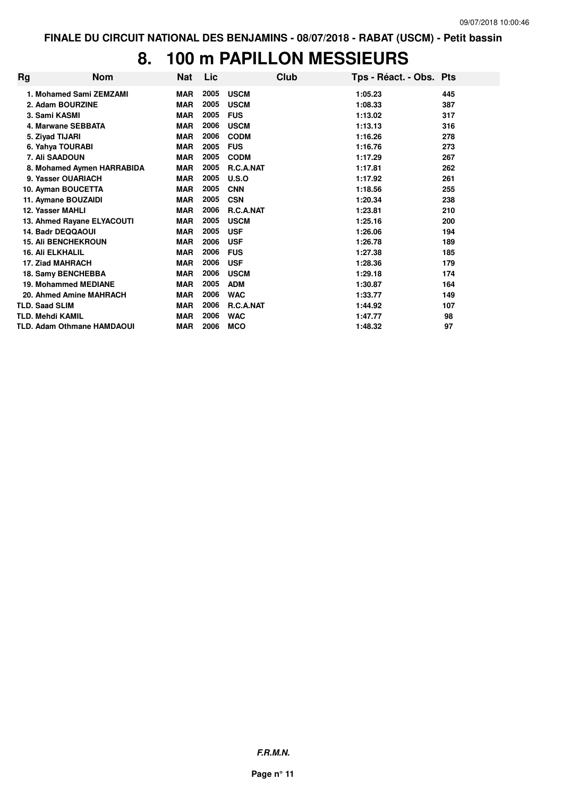# **8. 100 m PAPILLON MESSIEURS**

| Rg | <b>Nom</b>                        | Nat        | Lic  |                  | Club | Tps - Réact. - Obs. Pts |     |
|----|-----------------------------------|------------|------|------------------|------|-------------------------|-----|
|    | 1. Mohamed Sami ZEMZAMI           | <b>MAR</b> | 2005 | <b>USCM</b>      |      | 1:05.23                 | 445 |
|    | 2. Adam BOURZINE                  | <b>MAR</b> | 2005 | <b>USCM</b>      |      | 1:08.33                 | 387 |
|    | 3. Sami KASMI                     | <b>MAR</b> | 2005 | <b>FUS</b>       |      | 1:13.02                 | 317 |
|    | 4. Marwane SEBBATA                | <b>MAR</b> | 2006 | <b>USCM</b>      |      | 1:13.13                 | 316 |
|    | 5. Ziyad TIJARI                   | <b>MAR</b> | 2006 | <b>CODM</b>      |      | 1:16.26                 | 278 |
|    | 6. Yahya TOURABI                  | <b>MAR</b> | 2005 | <b>FUS</b>       |      | 1:16.76                 | 273 |
|    | 7. Ali SAADOUN                    | <b>MAR</b> | 2005 | <b>CODM</b>      |      | 1:17.29                 | 267 |
|    | 8. Mohamed Aymen HARRABIDA        | <b>MAR</b> | 2005 | R.C.A.NAT        |      | 1:17.81                 | 262 |
|    | 9. Yasser OUARIACH                | <b>MAR</b> | 2005 | U.S.O            |      | 1:17.92                 | 261 |
|    | 10. Ayman BOUCETTA                | <b>MAR</b> | 2005 | <b>CNN</b>       |      | 1:18.56                 | 255 |
|    | 11. Aymane BOUZAIDI               | <b>MAR</b> | 2005 | <b>CSN</b>       |      | 1:20.34                 | 238 |
|    | 12. Yasser MAHLI                  | <b>MAR</b> | 2006 | <b>R.C.A.NAT</b> |      | 1:23.81                 | 210 |
|    | 13. Ahmed Rayane ELYACOUTI        | <b>MAR</b> | 2005 | <b>USCM</b>      |      | 1:25.16                 | 200 |
|    | 14. Badr DEQQAOUI                 | <b>MAR</b> | 2005 | <b>USF</b>       |      | 1:26.06                 | 194 |
|    | <b>15. Ali BENCHEKROUN</b>        | <b>MAR</b> | 2006 | <b>USF</b>       |      | 1:26.78                 | 189 |
|    | <b>16. Ali ELKHALIL</b>           | <b>MAR</b> | 2006 | <b>FUS</b>       |      | 1:27.38                 | 185 |
|    | 17. Ziad MAHRACH                  | <b>MAR</b> | 2006 | <b>USF</b>       |      | 1:28.36                 | 179 |
|    | 18. Samy BENCHEBBA                | <b>MAR</b> | 2006 | <b>USCM</b>      |      | 1:29.18                 | 174 |
|    | <b>19. Mohammed MEDIANE</b>       | <b>MAR</b> | 2005 | <b>ADM</b>       |      | 1:30.87                 | 164 |
|    | 20. Ahmed Amine MAHRACH           | <b>MAR</b> | 2006 | <b>WAC</b>       |      | 1:33.77                 | 149 |
|    | <b>TLD. Saad SLIM</b>             | <b>MAR</b> | 2006 | <b>R.C.A.NAT</b> |      | 1:44.92                 | 107 |
|    | <b>TLD. Mehdi KAMIL</b>           | <b>MAR</b> | 2006 | <b>WAC</b>       |      | 1:47.77                 | 98  |
|    | <b>TLD. Adam Othmane HAMDAOUI</b> | <b>MAR</b> | 2006 | <b>MCO</b>       |      | 1:48.32                 | 97  |

**F.R.M.N.**

**Page n° 11**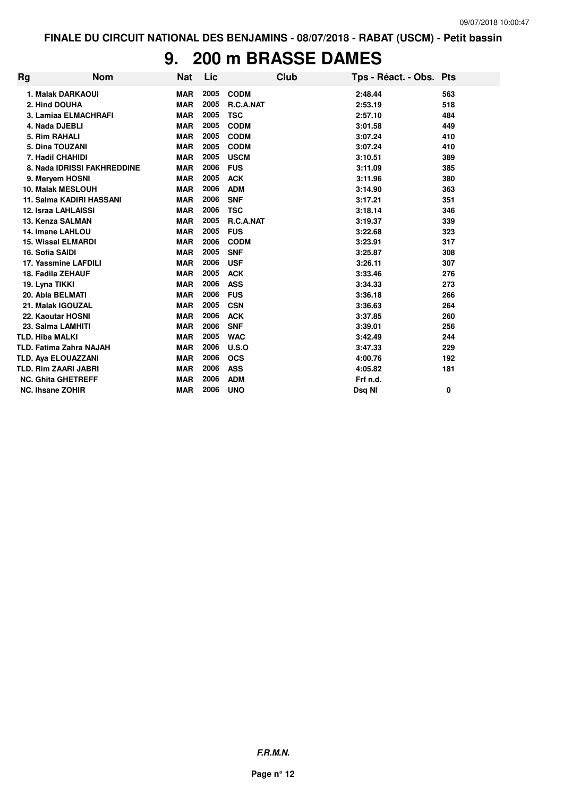#### **9. 200 m BRASSE DAMES**

| <b>Rg</b> | <b>Nom</b>                     | <b>Nat</b> | Lic  |             | Club | Tps - Réact. - Obs. Pts |     |
|-----------|--------------------------------|------------|------|-------------|------|-------------------------|-----|
|           | 1. Malak DARKAOUI              | <b>MAR</b> | 2005 | <b>CODM</b> |      | 2:48.44                 | 563 |
|           | 2. Hind DOUHA                  | <b>MAR</b> | 2005 | R.C.A.NAT   |      | 2:53.19                 | 518 |
|           | 3. Lamiaa ELMACHRAFI           | <b>MAR</b> | 2005 | <b>TSC</b>  |      | 2:57.10                 | 484 |
|           | 4. Nada DJEBLI                 | <b>MAR</b> | 2005 | <b>CODM</b> |      | 3:01.58                 | 449 |
|           | 5. Rim RAHALI                  | <b>MAR</b> | 2005 | <b>CODM</b> |      | 3:07.24                 | 410 |
|           | 5. Dina TOUZANI                | <b>MAR</b> | 2005 | <b>CODM</b> |      | 3:07.24                 | 410 |
|           | 7. Hadil CHAHIDI               | <b>MAR</b> | 2005 | <b>USCM</b> |      | 3:10.51                 | 389 |
|           | 8. Nada IDRISSI FAKHREDDINE    | <b>MAR</b> | 2006 | <b>FUS</b>  |      | 3:11.09                 | 385 |
|           | 9. Mervem HOSNI                | <b>MAR</b> | 2005 | <b>ACK</b>  |      | 3:11.96                 | 380 |
|           | <b>10. Malak MESLOUH</b>       | <b>MAR</b> | 2006 | <b>ADM</b>  |      | 3:14.90                 | 363 |
|           | 11. Salma KADIRI HASSANI       | <b>MAR</b> | 2006 | <b>SNF</b>  |      | 3:17.21                 | 351 |
|           | 12. Israa LAHLAISSI            | <b>MAR</b> | 2006 | <b>TSC</b>  |      | 3:18.14                 | 346 |
|           | 13. Kenza SALMAN               | <b>MAR</b> | 2005 | R.C.A.NAT   |      | 3:19.37                 | 339 |
|           | 14. Imane LAHLOU               | <b>MAR</b> | 2005 | <b>FUS</b>  |      | 3:22.68                 | 323 |
|           | <b>15. Wissal ELMARDI</b>      | <b>MAR</b> | 2006 | <b>CODM</b> |      | 3:23.91                 | 317 |
|           | 16. Sofia SAIDI                | <b>MAR</b> | 2005 | <b>SNF</b>  |      | 3:25.87                 | 308 |
|           | 17. Yassmine LAFDILI           | <b>MAR</b> | 2006 | <b>USF</b>  |      | 3:26.11                 | 307 |
|           | 18. Fadila ZEHAUF              | <b>MAR</b> | 2005 | <b>ACK</b>  |      | 3:33.46                 | 276 |
|           | 19. Lyna TIKKI                 | <b>MAR</b> | 2006 | <b>ASS</b>  |      | 3:34.33                 | 273 |
|           | 20. Abla BELMATI               | <b>MAR</b> | 2006 | <b>FUS</b>  |      | 3:36.18                 | 266 |
|           | 21. Malak IGOUZAL              | <b>MAR</b> | 2005 | <b>CSN</b>  |      | 3:36.63                 | 264 |
|           | 22. Kaoutar HOSNI              | <b>MAR</b> | 2006 | <b>ACK</b>  |      | 3:37.85                 | 260 |
|           | 23. Salma LAMHITI              | <b>MAR</b> | 2006 | <b>SNF</b>  |      | 3:39.01                 | 256 |
|           | <b>TLD. Hiba MALKI</b>         | <b>MAR</b> | 2005 | <b>WAC</b>  |      | 3:42.49                 | 244 |
|           | <b>TLD. Fatima Zahra NAJAH</b> | <b>MAR</b> | 2006 | U.S.O       |      | 3:47.33                 | 229 |
|           | <b>TLD. Aya ELOUAZZANI</b>     | <b>MAR</b> | 2006 | <b>OCS</b>  |      | 4:00.76                 | 192 |
|           | <b>TLD. Rim ZAARI JABRI</b>    | <b>MAR</b> | 2006 | <b>ASS</b>  |      | 4:05.82                 | 181 |
|           | <b>NC. Ghita GHETREFF</b>      | <b>MAR</b> | 2006 | <b>ADM</b>  |      | Frf n.d.                |     |
|           | <b>NC. Ihsane ZOHIR</b>        | <b>MAR</b> | 2006 | <b>UNO</b>  |      | Dsg NI                  | 0   |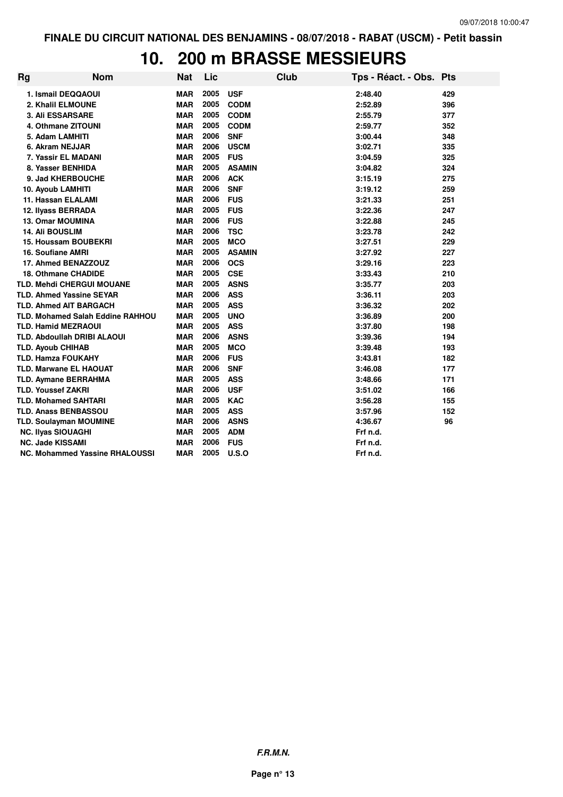# **10. 200 m BRASSE MESSIEURS**

| Rg                                      | <b>Nom</b> | <b>Nat</b> | Lic  |               | <b>Club</b> | Tps - Réact. - Obs. Pts |     |
|-----------------------------------------|------------|------------|------|---------------|-------------|-------------------------|-----|
| 1. Ismail DEQQAOUI                      |            | <b>MAR</b> | 2005 | <b>USF</b>    |             | 2:48.40                 | 429 |
| 2. Khalil ELMOUNE                       |            | <b>MAR</b> | 2005 | <b>CODM</b>   |             | 2:52.89                 | 396 |
| <b>3. Ali ESSARSARE</b>                 |            | <b>MAR</b> | 2005 | <b>CODM</b>   |             | 2:55.79                 | 377 |
| 4. Othmane ZITOUNI                      |            | <b>MAR</b> | 2005 | <b>CODM</b>   |             | 2:59.77                 | 352 |
| 5. Adam LAMHITI                         |            | <b>MAR</b> | 2006 | <b>SNF</b>    |             | 3:00.44                 | 348 |
| 6. Akram NEJJAR                         |            | <b>MAR</b> | 2006 | <b>USCM</b>   |             | 3:02.71                 | 335 |
| 7. Yassir EL MADANI                     |            | <b>MAR</b> | 2005 | <b>FUS</b>    |             | 3:04.59                 | 325 |
| 8. Yasser BENHIDA                       |            | <b>MAR</b> | 2005 | <b>ASAMIN</b> |             | 3:04.82                 | 324 |
| 9. Jad KHERBOUCHE                       |            | <b>MAR</b> | 2006 | <b>ACK</b>    |             | 3:15.19                 | 275 |
| 10. Ayoub LAMHITI                       |            | <b>MAR</b> | 2006 | <b>SNF</b>    |             | 3:19.12                 | 259 |
| 11. Hassan ELALAMI                      |            | <b>MAR</b> | 2006 | <b>FUS</b>    |             | 3:21.33                 | 251 |
| 12. Ilyass BERRADA                      |            | <b>MAR</b> | 2005 | <b>FUS</b>    |             | 3:22.36                 | 247 |
| 13. Omar MOUMINA                        |            | <b>MAR</b> | 2006 | <b>FUS</b>    |             | 3:22.88                 | 245 |
| <b>14. Ali BOUSLIM</b>                  |            | <b>MAR</b> | 2006 | <b>TSC</b>    |             | 3:23.78                 | 242 |
| <b>15. Houssam BOUBEKRI</b>             |            | <b>MAR</b> | 2005 | <b>MCO</b>    |             | 3:27.51                 | 229 |
| <b>16. Soufiane AMRI</b>                |            | <b>MAR</b> | 2005 | <b>ASAMIN</b> |             | 3:27.92                 | 227 |
| 17. Ahmed BENAZZOUZ                     |            | <b>MAR</b> | 2006 | <b>OCS</b>    |             | 3:29.16                 | 223 |
| <b>18. Othmane CHADIDE</b>              |            | <b>MAR</b> | 2005 | <b>CSE</b>    |             | 3:33.43                 | 210 |
| TLD. Mehdi CHERGUI MOUANE               |            | <b>MAR</b> | 2005 | <b>ASNS</b>   |             | 3:35.77                 | 203 |
| <b>TLD. Ahmed Yassine SEYAR</b>         |            | <b>MAR</b> | 2006 | <b>ASS</b>    |             | 3:36.11                 | 203 |
| <b>TLD. Ahmed AIT BARGACH</b>           |            | <b>MAR</b> | 2005 | <b>ASS</b>    |             | 3:36.32                 | 202 |
| <b>TLD. Mohamed Salah Eddine RAHHOU</b> |            | <b>MAR</b> | 2005 | <b>UNO</b>    |             | 3:36.89                 | 200 |
| <b>TLD. Hamid MEZRAOUI</b>              |            | <b>MAR</b> | 2005 | <b>ASS</b>    |             | 3:37.80                 | 198 |
| <b>TLD. Abdoullah DRIBI ALAOUI</b>      |            | <b>MAR</b> | 2006 | <b>ASNS</b>   |             | 3:39.36                 | 194 |
| <b>TLD. Ayoub CHIHAB</b>                |            | <b>MAR</b> | 2005 | <b>MCO</b>    |             | 3:39.48                 | 193 |
| <b>TLD. Hamza FOUKAHY</b>               |            | <b>MAR</b> | 2006 | <b>FUS</b>    |             | 3:43.81                 | 182 |
| <b>TLD. Marwane EL HAOUAT</b>           |            | <b>MAR</b> | 2006 | <b>SNF</b>    |             | 3:46.08                 | 177 |
| <b>TLD. Aymane BERRAHMA</b>             |            | <b>MAR</b> | 2005 | <b>ASS</b>    |             | 3:48.66                 | 171 |
| <b>TLD. Youssef ZAKRI</b>               |            | <b>MAR</b> | 2006 | <b>USF</b>    |             | 3:51.02                 | 166 |
| <b>TLD. Mohamed SAHTARI</b>             |            | <b>MAR</b> | 2005 | <b>KAC</b>    |             | 3:56.28                 | 155 |
| <b>TLD. Anass BENBASSOU</b>             |            | <b>MAR</b> | 2005 | <b>ASS</b>    |             | 3:57.96                 | 152 |
| <b>TLD. Soulayman MOUMINE</b>           |            | <b>MAR</b> | 2006 | <b>ASNS</b>   |             | 4:36.67                 | 96  |
| <b>NC. Ilyas SIOUAGHI</b>               |            | <b>MAR</b> | 2005 | <b>ADM</b>    |             | Frf n.d.                |     |
| <b>NC. Jade KISSAMI</b>                 |            | <b>MAR</b> | 2006 | <b>FUS</b>    |             | Frf n.d.                |     |
| <b>NC. Mohammed Yassine RHALOUSSI</b>   |            | <b>MAR</b> | 2005 | U.S.O         |             | Frf n.d.                |     |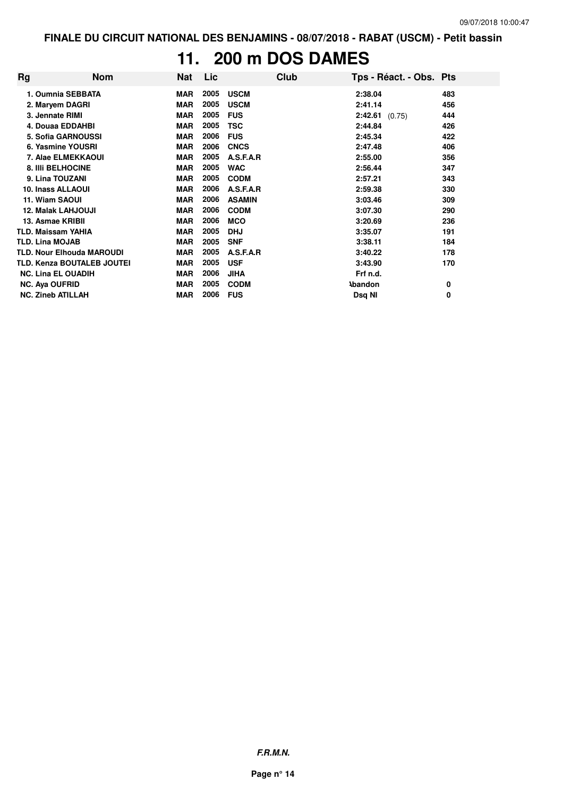### **11. 200 m DOS DAMES**

| Rg | <b>Nom</b>                        | Nat        | Lic  |               | Club | Tps - Réact. - Obs. Pts |     |
|----|-----------------------------------|------------|------|---------------|------|-------------------------|-----|
|    | 1. Oumnia SEBBATA                 | <b>MAR</b> | 2005 | <b>USCM</b>   |      | 2:38.04                 | 483 |
|    | 2. Maryem DAGRI                   | <b>MAR</b> | 2005 | <b>USCM</b>   |      | 2:41.14                 | 456 |
|    | 3. Jennate RIMI                   | <b>MAR</b> | 2005 | <b>FUS</b>    |      | $2:42.61$ (0.75)        | 444 |
|    | 4. Douaa EDDAHBI                  | <b>MAR</b> | 2005 | <b>TSC</b>    |      | 2:44.84                 | 426 |
|    | <b>5. Sofia GARNOUSSI</b>         | <b>MAR</b> | 2006 | <b>FUS</b>    |      | 2:45.34                 | 422 |
|    | 6. Yasmine YOUSRI                 | <b>MAR</b> | 2006 | <b>CNCS</b>   |      | 2:47.48                 | 406 |
|    | 7. Alae ELMEKKAOUI                | <b>MAR</b> | 2005 | A.S.F.A.R     |      | 2:55.00                 | 356 |
|    | <b>8. IIII BELHOCINE</b>          | <b>MAR</b> | 2005 | <b>WAC</b>    |      | 2:56.44                 | 347 |
|    | 9. Lina TOUZANI                   | <b>MAR</b> | 2005 | <b>CODM</b>   |      | 2:57.21                 | 343 |
|    | <b>10. Inass ALLAOUI</b>          | <b>MAR</b> | 2006 | A.S.F.A.R     |      | 2:59.38                 | 330 |
|    | 11. Wiam SAOUI                    | <b>MAR</b> | 2006 | <b>ASAMIN</b> |      | 3:03.46                 | 309 |
|    | <b>12. Malak LAHJOUJI</b>         | <b>MAR</b> | 2006 | <b>CODM</b>   |      | 3:07.30                 | 290 |
|    | 13. Asmae KRIBII                  | <b>MAR</b> | 2006 | <b>MCO</b>    |      | 3:20.69                 | 236 |
|    | <b>TLD. Maissam YAHIA</b>         | <b>MAR</b> | 2005 | <b>DHJ</b>    |      | 3:35.07                 | 191 |
|    | <b>TLD. Lina MOJAB</b>            | <b>MAR</b> | 2005 | <b>SNF</b>    |      | 3:38.11                 | 184 |
|    | <b>TLD. Nour Elhouda MAROUDI</b>  | <b>MAR</b> | 2005 | A.S.F.A.R     |      | 3:40.22                 | 178 |
|    | <b>TLD. Kenza BOUTALEB JOUTEI</b> | MAR        | 2005 | <b>USF</b>    |      | 3:43.90                 | 170 |
|    | <b>NC. Lina EL OUADIH</b>         | <b>MAR</b> | 2006 | <b>JIHA</b>   |      | Frf n.d.                |     |
|    | <b>NC. Aya OUFRID</b>             | <b>MAR</b> | 2005 | <b>CODM</b>   |      | <b>Abandon</b>          | 0   |
|    | <b>NC. Zineb ATILLAH</b>          | MAR        | 2006 | <b>FUS</b>    |      | Dsq NI                  | 0   |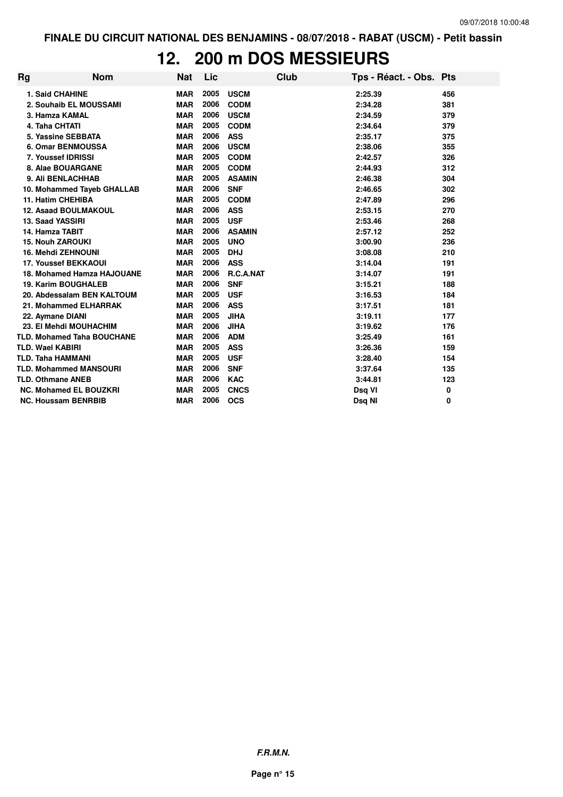### **12. 200 m DOS MESSIEURS**

| <b>Rg</b> | <b>Nom</b>                        | <b>Nat</b> | Lic  |               | Club | Tps - Réact. - Obs. Pts |     |
|-----------|-----------------------------------|------------|------|---------------|------|-------------------------|-----|
|           | <b>1. Said CHAHINE</b>            | <b>MAR</b> | 2005 | <b>USCM</b>   |      | 2:25.39                 | 456 |
|           | 2. Souhaib EL MOUSSAMI            | <b>MAR</b> | 2006 | <b>CODM</b>   |      | 2:34.28                 | 381 |
|           | 3. Hamza KAMAL                    | <b>MAR</b> | 2006 | <b>USCM</b>   |      | 2:34.59                 | 379 |
|           | 4. Taha CHTATI                    | <b>MAR</b> | 2005 | <b>CODM</b>   |      | 2:34.64                 | 379 |
|           | 5. Yassine SEBBATA                | <b>MAR</b> | 2006 | <b>ASS</b>    |      | 2:35.17                 | 375 |
|           | <b>6. Omar BENMOUSSA</b>          | <b>MAR</b> | 2006 | <b>USCM</b>   |      | 2:38.06                 | 355 |
|           | 7. Youssef IDRISSI                | <b>MAR</b> | 2005 | <b>CODM</b>   |      | 2:42.57                 | 326 |
|           | 8. Alae BOUARGANE                 | <b>MAR</b> | 2005 | <b>CODM</b>   |      | 2:44.93                 | 312 |
|           | 9. Ali BENLACHHAB                 | <b>MAR</b> | 2005 | <b>ASAMIN</b> |      | 2:46.38                 | 304 |
|           | 10. Mohammed Tayeb GHALLAB        | <b>MAR</b> | 2006 | <b>SNF</b>    |      | 2:46.65                 | 302 |
|           | 11. Hatim CHEHIBA                 | <b>MAR</b> | 2005 | <b>CODM</b>   |      | 2:47.89                 | 296 |
|           | <b>12. Asaad BOULMAKOUL</b>       | <b>MAR</b> | 2006 | <b>ASS</b>    |      | 2:53.15                 | 270 |
|           | 13. Saad YASSIRI                  | <b>MAR</b> | 2005 | <b>USF</b>    |      | 2:53.46                 | 268 |
|           | 14. Hamza TABIT                   | <b>MAR</b> | 2006 | <b>ASAMIN</b> |      | 2:57.12                 | 252 |
|           | <b>15. Nouh ZAROUKI</b>           | <b>MAR</b> | 2005 | <b>UNO</b>    |      | 3:00.90                 | 236 |
|           | <b>16. Mehdi ZEHNOUNI</b>         | <b>MAR</b> | 2005 | <b>DHJ</b>    |      | 3:08.08                 | 210 |
|           | <b>17. Youssef BEKKAOUI</b>       | <b>MAR</b> | 2006 | <b>ASS</b>    |      | 3:14.04                 | 191 |
|           | 18. Mohamed Hamza HAJOUANE        | <b>MAR</b> | 2006 | R.C.A.NAT     |      | 3:14.07                 | 191 |
|           | <b>19. Karim BOUGHALEB</b>        | <b>MAR</b> | 2006 | <b>SNF</b>    |      | 3:15.21                 | 188 |
|           | 20. Abdessalam BEN KALTOUM        | <b>MAR</b> | 2005 | <b>USF</b>    |      | 3:16.53                 | 184 |
|           | 21. Mohammed ELHARRAK             | <b>MAR</b> | 2006 | <b>ASS</b>    |      | 3:17.51                 | 181 |
|           | 22. Aymane DIANI                  | <b>MAR</b> | 2005 | <b>JIHA</b>   |      | 3:19.11                 | 177 |
|           | 23. El Mehdi MOUHACHIM            | <b>MAR</b> | 2006 | <b>JIHA</b>   |      | 3:19.62                 | 176 |
|           | <b>TLD. Mohamed Taha BOUCHANE</b> | <b>MAR</b> | 2006 | <b>ADM</b>    |      | 3:25.49                 | 161 |
|           | <b>TLD. Wael KABIRI</b>           | <b>MAR</b> | 2005 | <b>ASS</b>    |      | 3:26.36                 | 159 |
|           | <b>TLD. Taha HAMMANI</b>          | <b>MAR</b> | 2005 | <b>USF</b>    |      | 3:28.40                 | 154 |
|           | <b>TLD. Mohammed MANSOURI</b>     | <b>MAR</b> | 2006 | <b>SNF</b>    |      | 3:37.64                 | 135 |
|           | <b>TLD. Othmane ANEB</b>          | <b>MAR</b> | 2006 | <b>KAC</b>    |      | 3:44.81                 | 123 |
|           | <b>NC. Mohamed EL BOUZKRI</b>     | <b>MAR</b> | 2005 | <b>CNCS</b>   |      | Dsq VI                  | 0   |
|           | <b>NC. Houssam BENRBIB</b>        | <b>MAR</b> | 2006 | <b>OCS</b>    |      | Dsg NI                  | 0   |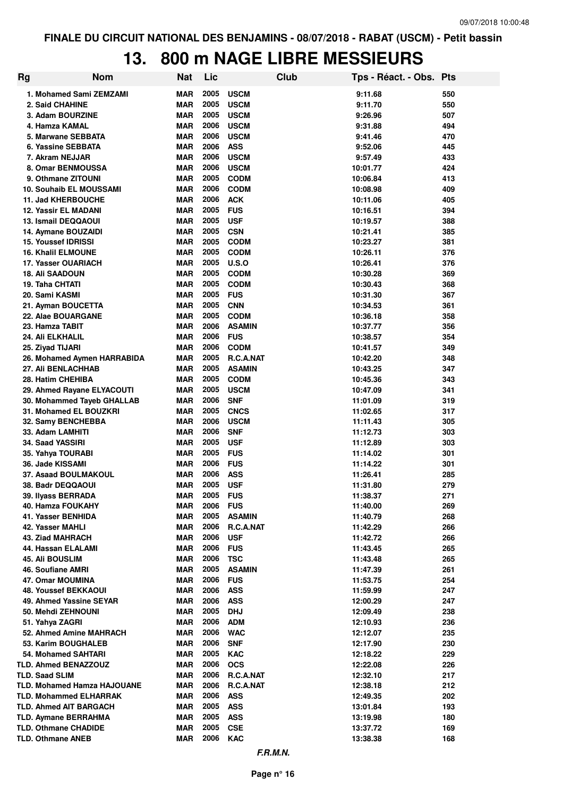### **13. 800 m NAGE LIBRE MESSIEURS**

| Rg | <b>Nom</b>                                     | <b>Nat</b>               | Lic          |                             | Club | Tps - Réact. - Obs. Pts |            |
|----|------------------------------------------------|--------------------------|--------------|-----------------------------|------|-------------------------|------------|
|    | 1. Mohamed Sami ZEMZAMI                        | MAR                      | 2005         | <b>USCM</b>                 |      | 9:11.68                 | 550        |
|    | 2. Said CHAHINE                                | <b>MAR</b>               | 2005         | <b>USCM</b>                 |      | 9:11.70                 | 550        |
|    | 3. Adam BOURZINE                               | <b>MAR</b>               | 2005         | <b>USCM</b>                 |      | 9:26.96                 | 507        |
|    | 4. Hamza KAMAL                                 | <b>MAR</b>               | 2006         | <b>USCM</b>                 |      | 9:31.88                 | 494        |
|    | 5. Marwane SEBBATA                             | <b>MAR</b>               | 2006         | <b>USCM</b>                 |      | 9:41.46                 | 470        |
|    | 6. Yassine SEBBATA                             | <b>MAR</b>               | 2006         | <b>ASS</b>                  |      | 9:52.06                 | 445        |
|    | 7. Akram NEJJAR                                | <b>MAR</b>               | 2006         | <b>USCM</b>                 |      | 9:57.49                 | 433        |
|    | 8. Omar BENMOUSSA                              | <b>MAR</b>               | 2006         | <b>USCM</b>                 |      | 10:01.77                | 424        |
|    | 9. Othmane ZITOUNI                             | <b>MAR</b>               | 2005         | <b>CODM</b>                 |      | 10:06.84                | 413        |
|    | 10. Souhaib EL MOUSSAMI                        | <b>MAR</b>               | 2006         | <b>CODM</b>                 |      | 10:08.98                | 409        |
|    | 11. Jad KHERBOUCHE                             | <b>MAR</b>               | 2006         | <b>ACK</b>                  |      | 10:11.06                | 405        |
|    | 12. Yassir EL MADANI                           | MAR                      | 2005         | <b>FUS</b>                  |      | 10:16.51                | 394        |
|    | <b>13. Ismail DEQQAOUI</b>                     | <b>MAR</b>               | 2005         | <b>USF</b>                  |      | 10:19.57                | 388        |
|    | 14. Aymane BOUZAIDI                            | <b>MAR</b>               | 2005         | <b>CSN</b>                  |      | 10:21.41                | 385        |
|    | <b>15. Youssef IDRISSI</b>                     | <b>MAR</b>               | 2005         | <b>CODM</b>                 |      | 10:23.27                | 381        |
|    | <b>16. Khalil ELMOUNE</b>                      | <b>MAR</b>               | 2005         | <b>CODM</b>                 |      | 10:26.11                | 376        |
|    | 17. Yasser OUARIACH                            | <b>MAR</b>               | 2005         | <b>U.S.O</b>                |      | 10:26.41                | 376        |
|    | <b>18. Ali SAADOUN</b>                         | <b>MAR</b>               | 2005         | <b>CODM</b>                 |      | 10:30.28                | 369        |
|    | 19. Taha CHTATI                                | <b>MAR</b>               | 2005         | <b>CODM</b>                 |      | 10:30.43                | 368        |
|    | 20. Sami KASMI                                 | <b>MAR</b>               | 2005         | <b>FUS</b>                  |      | 10:31.30                | 367        |
|    | 21. Ayman BOUCETTA                             | <b>MAR</b>               | 2005         | <b>CNN</b>                  |      | 10:34.53                | 361        |
|    | 22. Alae BOUARGANE                             | <b>MAR</b><br><b>MAR</b> | 2005<br>2006 | <b>CODM</b>                 |      | 10:36.18                | 358        |
|    | 23. Hamza TABIT<br>24. Ali ELKHALIL            | <b>MAR</b>               | 2006         | <b>ASAMIN</b><br><b>FUS</b> |      | 10:37.77<br>10:38.57    | 356<br>354 |
|    | 25. Ziyad TIJARI                               | <b>MAR</b>               | 2006         | <b>CODM</b>                 |      | 10:41.57                | 349        |
|    | 26. Mohamed Aymen HARRABIDA                    | <b>MAR</b>               | 2005         | R.C.A.NAT                   |      | 10:42.20                | 348        |
|    | 27. Ali BENLACHHAB                             | <b>MAR</b>               | 2005         | <b>ASAMIN</b>               |      | 10:43.25                | 347        |
|    | 28. Hatim CHEHIBA                              | <b>MAR</b>               | 2005         | <b>CODM</b>                 |      | 10:45.36                | 343        |
|    | 29. Ahmed Rayane ELYACOUTI                     | <b>MAR</b>               | 2005         | <b>USCM</b>                 |      | 10:47.09                | 341        |
|    | 30. Mohammed Tayeb GHALLAB                     | MAR                      | 2006         | <b>SNF</b>                  |      | 11:01.09                | 319        |
|    | 31. Mohamed EL BOUZKRI                         | <b>MAR</b>               | 2005         | <b>CNCS</b>                 |      | 11:02.65                | 317        |
|    | 32. Samy BENCHEBBA                             | <b>MAR</b>               | 2006         | <b>USCM</b>                 |      | 11:11.43                | 305        |
|    | 33. Adam LAMHITI                               | <b>MAR</b>               | 2006         | <b>SNF</b>                  |      | 11:12.73                | 303        |
|    | 34. Saad YASSIRI                               | <b>MAR</b>               | 2005         | <b>USF</b>                  |      | 11:12.89                | 303        |
|    | 35. Yahya TOURABI                              | <b>MAR</b>               | 2005         | <b>FUS</b>                  |      | 11:14.02                | 301        |
|    | 36. Jade KISSAMI                               | MAR                      | 2006         | <b>FUS</b>                  |      | 11:14.22                | 301        |
|    | 37. Asaad BOULMAKOUL                           | <b>MAR</b>               | 2006         | <b>ASS</b>                  |      | 11:26.41                | 285        |
|    | 38. Badr DEQQAOUI                              | <b>MAR</b>               | 2005         | <b>USF</b>                  |      | 11:31.80                | 279        |
|    | 39. Ilyass BERRADA                             | <b>MAR</b>               | 2005         | <b>FUS</b>                  |      | 11:38.37                | 271        |
|    | 40. Hamza FOUKAHY                              | MAR                      | 2006 FUS     |                             |      | 11:40.00                | 269        |
|    | 41. Yasser BENHIDA                             | <b>MAR</b>               | 2005         | <b>ASAMIN</b>               |      | 11:40.79                | 268        |
|    | 42. Yasser MAHLI                               | <b>MAR</b>               | 2006         | R.C.A.NAT                   |      | 11:42.29                | 266        |
|    | 43. Ziad MAHRACH                               | MAR                      | 2006         | <b>USF</b>                  |      | 11:42.72                | 266        |
|    | 44. Hassan ELALAMI                             | <b>MAR</b>               | 2006         | <b>FUS</b>                  |      | 11:43.45                | 265        |
|    | <b>45. Ali BOUSLIM</b>                         | <b>MAR</b>               | 2006         | <b>TSC</b>                  |      | 11:43.48                | 265        |
|    | 46. Soufiane AMRI                              | <b>MAR</b>               | 2005         | <b>ASAMIN</b>               |      | 11:47.39                | 261        |
|    | 47. Omar MOUMINA                               | <b>MAR</b>               | 2006         | <b>FUS</b>                  |      | 11:53.75                | 254        |
|    | <b>48. Youssef BEKKAOUI</b>                    | <b>MAR</b>               | 2006         | <b>ASS</b>                  |      | 11:59.99                | 247        |
|    | 49. Ahmed Yassine SEYAR                        | <b>MAR</b>               | 2006         | <b>ASS</b>                  |      | 12:00.29                | 247        |
|    | 50. Mehdi ZEHNOUNI                             | <b>MAR</b>               | 2005         | <b>DHJ</b>                  |      | 12:09.49                | 238        |
|    | 51. Yahya ZAGRI                                | <b>MAR</b>               | 2006<br>2006 | <b>ADM</b>                  |      | 12:10.93                | 236        |
|    | 52. Ahmed Amine MAHRACH<br>53. Karim BOUGHALEB | <b>MAR</b><br><b>MAR</b> | 2006         | <b>WAC</b><br><b>SNF</b>    |      | 12:12.07                | 235<br>230 |
|    | 54. Mohamed SAHTARI                            | <b>MAR</b>               | 2005         | <b>KAC</b>                  |      | 12:17.90<br>12:18.22    | 229        |
|    | TLD. Ahmed BENAZZOUZ                           | <b>MAR</b>               | 2006         | <b>OCS</b>                  |      | 12:22.08                | 226        |
|    | <b>TLD. Saad SLIM</b>                          | <b>MAR</b>               | 2006         | R.C.A.NAT                   |      | 12:32.10                | 217        |
|    | TLD. Mohamed Hamza HAJOUANE                    | <b>MAR</b>               | 2006         | R.C.A.NAT                   |      | 12:38.18                | 212        |
|    | <b>TLD. Mohammed ELHARRAK</b>                  | <b>MAR</b>               | 2006         | <b>ASS</b>                  |      | 12:49.35                | 202        |
|    | <b>TLD. Ahmed AIT BARGACH</b>                  | <b>MAR</b>               | 2005         | ASS                         |      | 13:01.84                | 193        |
|    | <b>TLD. Aymane BERRAHMA</b>                    | <b>MAR</b>               | 2005         | <b>ASS</b>                  |      | 13:19.98                | 180        |
|    | <b>TLD. Othmane CHADIDE</b>                    | <b>MAR</b>               | 2005         | <b>CSE</b>                  |      | 13:37.72                | 169        |
|    | <b>TLD. Othmane ANEB</b>                       | <b>MAR</b>               | 2006         | <b>KAC</b>                  |      | 13:38.38                | 168        |
|    |                                                |                          |              |                             |      |                         |            |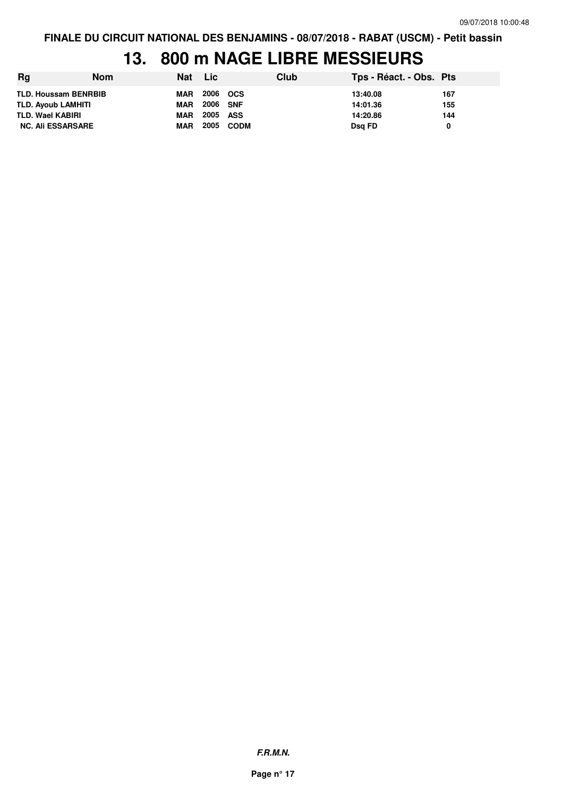### **13. 800 m NAGE LIBRE MESSIEURS**

| Rg                          | <b>Nom</b> | Nat        | <b>Lic</b> |           | <b>Club</b> | Tps - Réact. - Obs. Pts |     |
|-----------------------------|------------|------------|------------|-----------|-------------|-------------------------|-----|
| <b>TLD. Houssam BENRBIB</b> |            | MAR        | 2006 OCS   |           |             | 13:40.08                | 167 |
| <b>TLD. Ayoub LAMHITI</b>   |            | <b>MAR</b> | 2006 SNF   |           |             | 14:01.36                | 155 |
| TLD. Wael KABIRI            |            | <b>MAR</b> | 2005 ASS   |           |             | 14:20.86                | 144 |
| <b>NC. Ali ESSARSARE</b>    |            | <b>MAR</b> |            | 2005 CODM |             | Dsg FD                  |     |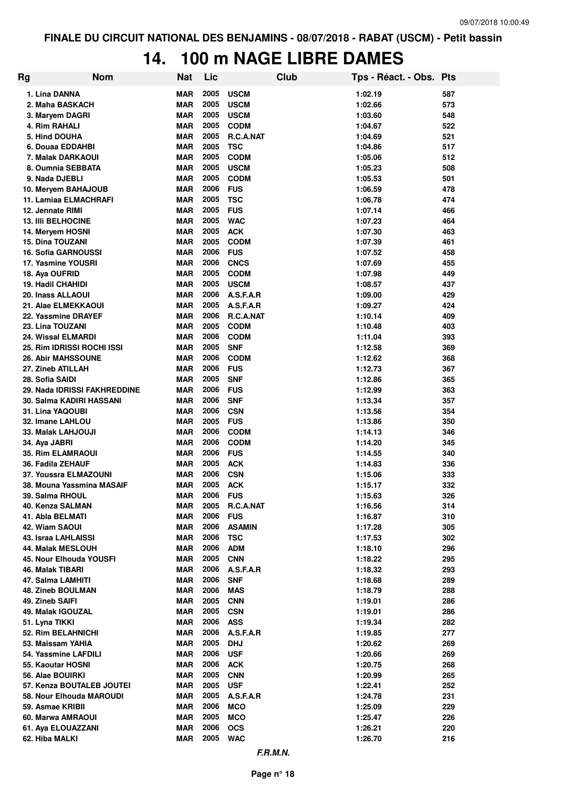### **14. 100 m NAGE LIBRE DAMES**

| Rg | <b>Nom</b>                             | <b>Nat</b>               | Lic          |                            | Club | Tps - Réact. - Obs. Pts |            |
|----|----------------------------------------|--------------------------|--------------|----------------------------|------|-------------------------|------------|
|    | 1. Lina DANNA                          | MAR                      | 2005         | <b>USCM</b>                |      | 1:02.19                 | 587        |
|    | 2. Maha BASKACH                        | MAR                      | 2005         | <b>USCM</b>                |      | 1:02.66                 | 573        |
|    | 3. Maryem DAGRI                        | <b>MAR</b>               | 2005         | <b>USCM</b>                |      | 1:03.60                 | 548        |
|    | 4. Rim RAHALI                          | <b>MAR</b>               | 2005         | <b>CODM</b>                |      | 1:04.67                 | 522        |
|    | 5. Hind DOUHA                          | <b>MAR</b>               | 2005         | R.C.A.NAT                  |      | 1:04.69                 | 521        |
|    | 6. Douaa EDDAHBI                       | <b>MAR</b>               | 2005         | <b>TSC</b>                 |      | 1:04.86                 | 517        |
|    | 7. Malak DARKAOUI                      | <b>MAR</b>               | 2005         | <b>CODM</b>                |      | 1:05.06                 | 512        |
|    | 8. Oumnia SEBBATA                      | <b>MAR</b>               | 2005         | <b>USCM</b>                |      | 1:05.23                 | 508        |
|    | 9. Nada DJEBLI                         | <b>MAR</b>               | 2005         | <b>CODM</b>                |      | 1:05.53                 | 501        |
|    | 10. Meryem BAHAJOUB                    | <b>MAR</b>               | 2006         | <b>FUS</b>                 |      | 1:06.59                 | 478        |
|    | <b>11. Lamiaa ELMACHRAFI</b>           | MAR                      | 2005         | <b>TSC</b>                 |      | 1:06.78                 | 474        |
|    | 12. Jennate RIMI                       | MAR                      | 2005         | <b>FUS</b>                 |      | 1:07.14                 | 466        |
|    | <b>13. IIII BELHOCINE</b>              | <b>MAR</b>               | 2005         | <b>WAC</b>                 |      | 1:07.23                 | 464        |
|    | 14. Meryem HOSNI                       | <b>MAR</b>               | 2005         | <b>ACK</b>                 |      | 1:07.30                 | 463        |
|    | <b>15. Dina TOUZANI</b>                | MAR                      | 2005         | <b>CODM</b>                |      | 1:07.39                 | 461        |
|    | <b>16. Sofia GARNOUSSI</b>             | MAR                      | 2006         | <b>FUS</b>                 |      | 1:07.52                 | 458        |
|    | 17. Yasmine YOUSRI                     | <b>MAR</b>               | 2006         | <b>CNCS</b>                |      | 1:07.69                 | 455        |
|    | 18. Aya OUFRID                         | <b>MAR</b>               | 2005         | <b>CODM</b>                |      | 1:07.98                 | 449        |
|    | <b>19. Hadil CHAHIDI</b>               | MAR                      | 2005         | <b>USCM</b>                |      | 1:08.57                 | 437        |
|    | 20. Inass ALLAOUI                      | MAR                      | 2006         | A.S.F.A.R                  |      | 1:09.00                 | 429        |
|    | 21. Alae ELMEKKAOUI                    | <b>MAR</b>               | 2005<br>2006 | A.S.F.A.R                  |      | 1:09.27                 | 424        |
|    | 22. Yassmine DRAYEF                    | <b>MAR</b>               | 2005         | R.C.A.NAT                  |      | 1:10.14                 | 409        |
|    | 23. Lina TOUZANI<br>24. Wissal ELMARDI | <b>MAR</b><br><b>MAR</b> | 2006         | <b>CODM</b><br><b>CODM</b> |      | 1:10.48<br>1:11.04      | 403<br>393 |
|    | 25. Rim IDRISSI ROCHI ISSI             | <b>MAR</b>               | 2005         | <b>SNF</b>                 |      | 1:12.58                 | 369        |
|    | <b>26. Abir MAHSSOUNE</b>              | MAR                      | 2006         | <b>CODM</b>                |      | 1:12.62                 | 368        |
|    | 27. Zineb ATILLAH                      | MAR                      | 2006         | <b>FUS</b>                 |      | 1:12.73                 | 367        |
|    | 28. Sofia SAIDI                        | <b>MAR</b>               | 2005         | <b>SNF</b>                 |      | 1:12.86                 | 365        |
|    | 29. Nada IDRISSI FAKHREDDINE           | MAR                      | 2006         | <b>FUS</b>                 |      | 1:12.99                 | 363        |
|    | 30. Salma KADIRI HASSANI               | MAR                      | 2006         | <b>SNF</b>                 |      | 1:13.34                 | 357        |
|    | 31. Lina YAQOUBI                       | MAR                      | 2006         | <b>CSN</b>                 |      | 1:13.56                 | 354        |
|    | 32. Imane LAHLOU                       | <b>MAR</b>               | 2005         | <b>FUS</b>                 |      | 1:13.86                 | 350        |
|    | 33. Malak LAHJOUJI                     | MAR                      | 2006         | <b>CODM</b>                |      | 1:14.13                 | 346        |
|    | 34. Aya JABRI                          | <b>MAR</b>               | 2006         | <b>CODM</b>                |      | 1:14.20                 | 345        |
|    | <b>35. Rim ELAMRAOUI</b>               | MAR                      | 2006         | <b>FUS</b>                 |      | 1:14.55                 | 340        |
|    | 36. Fadila ZEHAUF                      | MAR                      | 2005         | <b>ACK</b>                 |      | 1:14.83                 | 336        |
|    | 37. Youssra ELMAZOUNI                  | MAR                      | 2006         | <b>CSN</b>                 |      | 1:15.06                 | 333        |
|    | 38. Mouna Yassmina MASAIF              | <b>MAR</b>               | 2005         | <b>ACK</b>                 |      | 1:15.17                 | 332        |
|    | 39. Salma RHOUL                        | <b>MAR</b>               | 2006 FUS     |                            |      | 1:15.63                 | 326        |
|    | 40. Kenza SALMAN                       | MAR                      |              | 2005 R.C.A.NAT             |      | 1:16.56                 | 314        |
|    | 41. Abla BELMATI                       | <b>MAR</b>               | 2006         | <b>FUS</b>                 |      | 1:16.87                 | 310        |
|    | 42. Wiam SAOUI                         | <b>MAR</b>               | 2006         | <b>ASAMIN</b>              |      | 1:17.28                 | 305        |
|    | <b>43. Israa LAHLAISSI</b>             | <b>MAR</b>               | 2006         | <b>TSC</b>                 |      | 1:17.53                 | 302        |
|    | 44. Malak MESLOUH                      | <b>MAR</b>               | 2006         | <b>ADM</b>                 |      | 1:18.10                 | 296        |
|    | 45. Nour Elhouda YOUSFI                | <b>MAR</b>               | 2005         | <b>CNN</b>                 |      | 1:18.22                 | 295        |
|    | 46. Malak TIBARI                       | <b>MAR</b>               | 2006         | A.S.F.A.R                  |      | 1:18.32                 | 293        |
|    | 47. Salma LAMHITI                      | <b>MAR</b>               | 2006         | <b>SNF</b>                 |      | 1:18.68                 | 289        |
|    | 48. Zineb BOULMAN                      | <b>MAR</b>               | 2006         | <b>MAS</b>                 |      | 1:18.79                 | 288        |
|    | 49. Zineb SAIFI                        | <b>MAR</b>               | 2005         | <b>CNN</b>                 |      | 1:19.01                 | 286        |
|    | 49. Malak IGOUZAL                      | <b>MAR</b>               | 2005<br>2006 | <b>CSN</b><br><b>ASS</b>   |      | 1:19.01                 | 286<br>282 |
|    | 51. Lyna TIKKI<br>52. Rim BELAHNICHI   | <b>MAR</b><br><b>MAR</b> | 2006         | A.S.F.A.R                  |      | 1:19.34                 | 277        |
|    | 53. Maissam YAHIA                      | <b>MAR</b>               | 2005         | <b>DHJ</b>                 |      | 1:19.85<br>1:20.62      | 269        |
|    | 54. Yassmine LAFDILI                   | <b>MAR</b>               | 2006         | <b>USF</b>                 |      | 1:20.66                 | 269        |
|    | 55. Kaoutar HOSNI                      | <b>MAR</b>               | 2006         | <b>ACK</b>                 |      | 1:20.75                 | 268        |
|    | 56. Alae BOUIRKI                       | <b>MAR</b>               | 2005         | <b>CNN</b>                 |      | 1:20.99                 | 265        |
|    | 57. Kenza BOUTALEB JOUTEI              | <b>MAR</b>               | 2005         | <b>USF</b>                 |      | 1:22.41                 | 252        |
|    | 58. Nour Elhouda MAROUDI               | <b>MAR</b>               | 2005         | A.S.F.A.R                  |      | 1:24.78                 | 231        |
|    | 59. Asmae KRIBII                       | <b>MAR</b>               | 2006         | <b>MCO</b>                 |      | 1:25.09                 | 229        |
|    | 60. Marwa AMRAOUI                      | <b>MAR</b>               | 2005         | <b>MCO</b>                 |      | 1:25.47                 | 226        |
|    | 61. Aya ELOUAZZANI                     | <b>MAR</b>               | 2006         | <b>OCS</b>                 |      | 1:26.21                 | 220        |
|    | 62. Hiba MALKI                         | MAR                      | 2005         | <b>WAC</b>                 |      | 1:26.70                 | 216        |
|    |                                        |                          |              | F.R.M.N.                   |      |                         |            |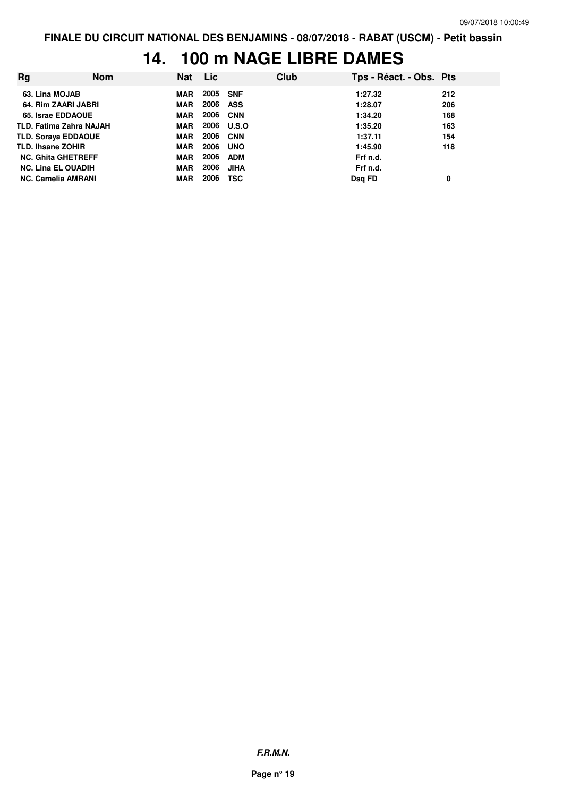# **14. 100 m NAGE LIBRE DAMES**

| <b>Rg</b>                  | Nom | Nat        | <b>Lic</b> |              | Club | Tps - Réact. - Obs. Pts |     |
|----------------------------|-----|------------|------------|--------------|------|-------------------------|-----|
| 63. Lina MOJAB             |     | <b>MAR</b> | 2005       | <b>SNF</b>   |      | 1:27.32                 | 212 |
| 64. Rim ZAARI JABRI        |     | <b>MAR</b> | 2006       | ASS          |      | 1:28.07                 | 206 |
| 65. Israe EDDAOUE          |     | <b>MAR</b> | 2006       | <b>CNN</b>   |      | 1:34.20                 | 168 |
| TLD. Fatima Zahra NAJAH    |     | <b>MAR</b> | 2006       | <b>U.S.O</b> |      | 1:35.20                 | 163 |
| <b>TLD. Soraya EDDAOUE</b> |     | <b>MAR</b> | 2006       | <b>CNN</b>   |      | 1:37.11                 | 154 |
| <b>TLD. Ihsane ZOHIR</b>   |     | <b>MAR</b> | 2006       | <b>UNO</b>   |      | 1:45.90                 | 118 |
| <b>NC. Ghita GHETREFF</b>  |     | <b>MAR</b> | 2006       | <b>ADM</b>   |      | Frf n.d.                |     |
| <b>NC. Lina EL OUADIH</b>  |     | <b>MAR</b> | 2006       | <b>JIHA</b>  |      | Frf n.d.                |     |
| <b>NC. Camelia AMRANI</b>  |     | <b>MAR</b> | 2006       | <b>TSC</b>   |      | Dsg FD                  | 0   |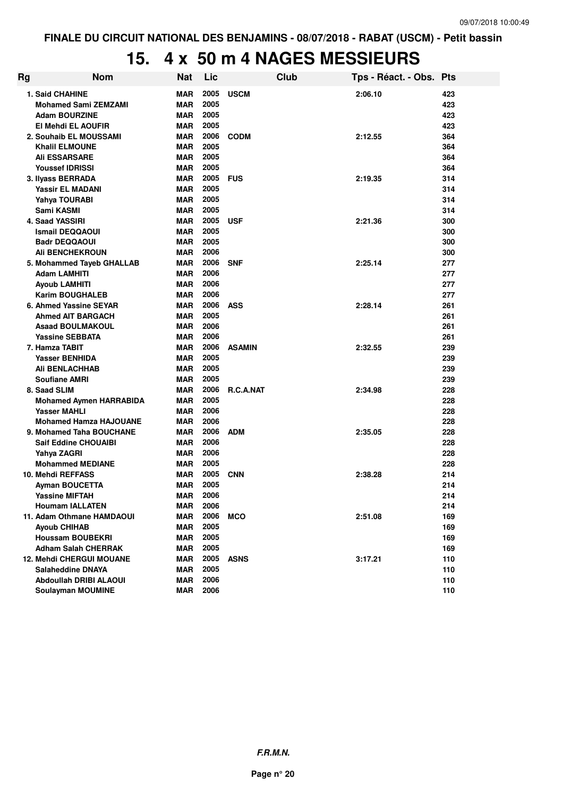# **15. 4 x 50 m 4 NAGES MESSIEURS**

| Rg | <b>Nom</b>                                            | <b>Nat</b>        | Lic          |                  | Club | Tps - Réact. - Obs. Pts |            |
|----|-------------------------------------------------------|-------------------|--------------|------------------|------|-------------------------|------------|
|    | 1. Said CHAHINE                                       | <b>MAR</b>        | 2005         | <b>USCM</b>      |      | 2:06.10                 | 423        |
|    | <b>Mohamed Sami ZEMZAMI</b>                           | <b>MAR</b>        | 2005         |                  |      |                         | 423        |
|    | <b>Adam BOURZINE</b>                                  | <b>MAR</b>        | 2005         |                  |      |                         | 423        |
|    | El Mehdi EL AOUFIR                                    | <b>MAR</b>        | 2005         |                  |      |                         | 423        |
|    | 2. Souhaib EL MOUSSAMI                                | MAR               | 2006         | <b>CODM</b>      |      | 2:12.55                 | 364        |
|    | <b>Khalil ELMOUNE</b>                                 | <b>MAR</b>        | 2005         |                  |      |                         | 364        |
|    | <b>Ali ESSARSARE</b>                                  | MAR               | 2005         |                  |      |                         | 364        |
|    | <b>Youssef IDRISSI</b>                                | <b>MAR</b>        | 2005         |                  |      |                         | 364        |
|    | 3. Ilvass BERRADA                                     | <b>MAR</b>        | 2005         | <b>FUS</b>       |      | 2:19.35                 | 314        |
|    | <b>Yassir EL MADANI</b>                               | <b>MAR</b>        | 2005         |                  |      |                         | 314        |
|    | Yahya TOURABI                                         | MAR               | 2005         |                  |      |                         | 314        |
|    | Sami KASMI                                            | <b>MAR</b>        | 2005         |                  |      |                         | 314        |
|    | 4. Saad YASSIRI                                       | MAR               | 2005         | <b>USF</b>       |      | 2:21.36                 | 300        |
|    | <b>Ismail DEQQAOUI</b>                                | <b>MAR</b>        | 2005         |                  |      |                         | 300        |
|    | <b>Badr DEQQAOUI</b>                                  | MAR               | 2005         |                  |      |                         | 300        |
|    | <b>Ali BENCHEKROUN</b>                                | <b>MAR</b>        | 2006         |                  |      |                         | 300        |
|    | 5. Mohammed Tayeb GHALLAB                             | <b>MAR</b>        | 2006         | <b>SNF</b>       |      | 2:25.14                 | 277        |
|    | <b>Adam LAMHITI</b>                                   | <b>MAR</b>        | 2006         |                  |      |                         | 277        |
|    | <b>Ayoub LAMHITI</b>                                  | MAR               | 2006         |                  |      |                         | 277        |
|    | <b>Karim BOUGHALEB</b>                                | MAR               | 2006         |                  |      |                         | 277        |
|    | 6. Ahmed Yassine SEYAR                                | <b>MAR</b>        | 2006         | <b>ASS</b>       |      | 2:28.14                 | 261        |
|    | <b>Ahmed AIT BARGACH</b>                              | MAR               | 2005         |                  |      |                         | 261        |
|    | <b>Asaad BOULMAKOUL</b>                               | <b>MAR</b>        | 2006         |                  |      |                         | 261        |
|    | <b>Yassine SEBBATA</b>                                | <b>MAR</b>        | 2006         |                  |      |                         | 261        |
|    | 7. Hamza TABIT                                        | <b>MAR</b>        | 2006         | <b>ASAMIN</b>    |      | 2:32.55                 | 239        |
|    | Yasser BENHIDA                                        | <b>MAR</b>        | 2005         |                  |      |                         | 239        |
|    | <b>Ali BENLACHHAB</b>                                 | MAR               | 2005         |                  |      |                         | 239        |
|    | <b>Soufiane AMRI</b>                                  | MAR               | 2005<br>2006 | <b>R.C.A.NAT</b> |      |                         | 239        |
|    | 8. Saad SLIM                                          | MAR<br><b>MAR</b> | 2005         |                  |      | 2:34.98                 | 228<br>228 |
|    | <b>Mohamed Aymen HARRABIDA</b><br><b>Yasser MAHLI</b> | MAR               | 2006         |                  |      |                         | 228        |
|    | <b>Mohamed Hamza HAJOUANE</b>                         | <b>MAR</b>        | 2006         |                  |      |                         | 228        |
|    | 9. Mohamed Taha BOUCHANE                              | MAR               | 2006         | <b>ADM</b>       |      | 2:35.05                 | 228        |
|    | <b>Saif Eddine CHOUAIBI</b>                           | <b>MAR</b>        | 2006         |                  |      |                         | 228        |
|    | Yahya ZAGRI                                           | <b>MAR</b>        | 2006         |                  |      |                         | 228        |
|    | <b>Mohammed MEDIANE</b>                               | MAR               | 2005         |                  |      |                         | 228        |
|    | 10. Mehdi REFFASS                                     | <b>MAR</b>        | 2005         | <b>CNN</b>       |      | 2:38.28                 | 214        |
|    | Ayman BOUCETTA                                        | MAR               | 2005         |                  |      |                         | 214        |
|    | <b>Yassine MIFTAH</b>                                 | <b>MAR</b>        | 2006         |                  |      |                         | 214        |
|    | <b>Houmam IALLATEN</b>                                | MAR               | 2006         |                  |      |                         | 214        |
|    | 11. Adam Othmane HAMDAOUI                             | MAR               | 2006         | <b>MCO</b>       |      | 2:51.08                 | 169        |
|    | <b>Ayoub CHIHAB</b>                                   | MAR               | 2005         |                  |      |                         | 169        |
|    | <b>Houssam BOUBEKRI</b>                               | MAR               | 2005         |                  |      |                         | 169        |
|    | <b>Adham Salah CHERRAK</b>                            | MAR               | 2005         |                  |      |                         | 169        |
|    | <b>12. Mehdi CHERGUI MOUANE</b>                       | MAR               | 2005         | <b>ASNS</b>      |      | 3:17.21                 | 110        |
|    | <b>Salaheddine DNAYA</b>                              | MAR               | 2005         |                  |      |                         | 110        |
|    | <b>Abdoullah DRIBI ALAOUI</b>                         | MAR               | 2006         |                  |      |                         | 110        |
|    | <b>Soulayman MOUMINE</b>                              | MAR               | 2006         |                  |      |                         | 110        |